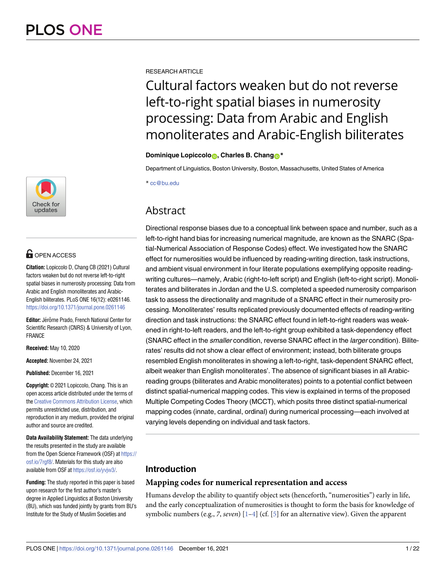

## **OPEN ACCESS**

**Citation:** Lopiccolo D, Chang CB (2021) Cultural factors weaken but do not reverse left-to-right spatial biases in numerosity processing: Data from Arabic and English monoliterates and Arabic-English biliterates. PLoS ONE 16(12): e0261146. <https://doi.org/10.1371/journal.pone.0261146>

Editor: Jérôme Prado, French National Center for Scientific Research (CNRS) & University of Lyon, FRANCE

**Received:** May 10, 2020

**Accepted:** November 24, 2021

**Published:** December 16, 2021

**Copyright:** © 2021 Lopiccolo, Chang. This is an open access article distributed under the terms of the Creative [Commons](http://creativecommons.org/licenses/by/4.0/) Attribution License, which permits unrestricted use, distribution, and reproduction in any medium, provided the original author and source are credited.

**Data Availability Statement:** The data underlying the results presented in the study are available from the Open Science Framework (OSF) at [https://](https://osf.io/7rgf8/) [osf.io/7rgf8/](https://osf.io/7rgf8/). Materials for this study are also available from OSF at [https://osf.io/yvjw3/.](https://osf.io/yvjw3/)

**Funding:** The study reported in this paper is based upon research for the first author's master's degree in Applied Linguistics at Boston University (BU), which was funded jointly by grants from BU's Institute for the Study of Muslim Societies and

<span id="page-0-0"></span>RESEARCH ARTICLE

# Cultural factors weaken but do not reverse left-to-right spatial biases in numerosity processing: Data from Arabic and English monoliterates and Arabic-English biliterates

#### **Dominique Lopiccolo**<sub>D</sub>, Charles B. Chang<sub>O</sub><sup>\*</sup>

Department of Linguistics, Boston University, Boston, Massachusetts, United States of America

\* cc@bu.edu

## Abstract

Directional response biases due to a conceptual link between space and number, such as a left-to-right hand bias for increasing numerical magnitude, are known as the SNARC (Spatial-Numerical Association of Response Codes) effect. We investigated how the SNARC effect for numerosities would be influenced by reading-writing direction, task instructions, and ambient visual environment in four literate populations exemplifying opposite readingwriting cultures—namely, Arabic (right-to-left script) and English (left-to-right script). Monoliterates and biliterates in Jordan and the U.S. completed a speeded numerosity comparison task to assess the directionality and magnitude of a SNARC effect in their numerosity processing. Monoliterates' results replicated previously documented effects of reading-writing direction and task instructions: the SNARC effect found in left-to-right readers was weakened in right-to-left readers, and the left-to-right group exhibited a task-dependency effect (SNARC effect in the smaller condition, reverse SNARC effect in the larger condition). Biliterates' results did not show a clear effect of environment; instead, both biliterate groups resembled English monoliterates in showing a left-to-right, task-dependent SNARC effect, albeit weaker than English monoliterates'. The absence of significant biases in all Arabicreading groups (biliterates and Arabic monoliterates) points to a potential conflict between distinct spatial-numerical mapping codes. This view is explained in terms of the proposed Multiple Competing Codes Theory (MCCT), which posits three distinct spatial-numerical mapping codes (innate, cardinal, ordinal) during numerical processing—each involved at varying levels depending on individual and task factors.

### **Introduction**

#### **Mapping codes for numerical representation and access**

Humans develop the ability to quantify object sets (henceforth, "numerosities") early in life, and the early conceptualization of numerosities is thought to form the basis for knowledge of symbolic numbers (e.g., *7*, *seven*) [\[1](#page-16-0)[–4\]](#page-17-0) (cf. [[5\]](#page-17-0) for an alternative view). Given the apparent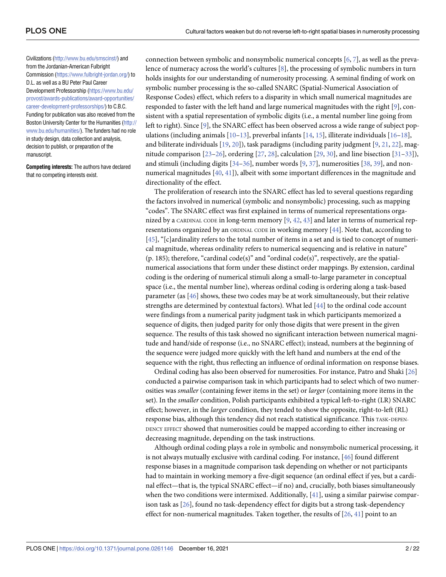<span id="page-1-0"></span>Civilizations ([http://www.bu.edu/smscinst/\)](http://www.bu.edu/smscinst/) and from the Jordanian-American Fulbright Commission ([https://www.fulbright-jordan.org/\)](https://www.fulbright-jordan.org/) to D.L. as well as a BU Peter Paul Career Development Professorship ([https://www.bu.edu/](https://www.bu.edu/provost/awards-publications/award-opportunities/career-development-professorships/) [provost/awards-publications/award-opportunities/](https://www.bu.edu/provost/awards-publications/award-opportunities/career-development-professorships/) [career-development-professorships/\)](https://www.bu.edu/provost/awards-publications/award-opportunities/career-development-professorships/) to C.B.C. Funding for publication was also received from the Boston University Center for the Humanities [\(http://](http://www.bu.edu/humanities/) [www.bu.edu/humanities/](http://www.bu.edu/humanities/)). The funders had no role in study design, data collection and analysis, decision to publish, or preparation of the manuscript.

**Competing interests:** The authors have declared that no competing interests exist.

connection between symbolic and nonsymbolic numerical concepts [\[6](#page-17-0), [7](#page-17-0)], as well as the prevalence of numeracy across the world's cultures [\[8](#page-17-0)], the processing of symbolic numbers in turn holds insights for our understanding of numerosity processing. A seminal finding of work on symbolic number processing is the so-called SNARC (Spatial-Numerical Association of Response Codes) effect, which refers to a disparity in which small numerical magnitudes are responded to faster with the left hand and large numerical magnitudes with the right [[9](#page-17-0)], consistent with a spatial representation of symbolic digits (i.e., a mental number line going from left to right). Since [[9\]](#page-17-0), the SNARC effect has been observed across a wide range of subject populations (including animals  $[10-13]$ , preverbal infants  $[14, 15]$  $[14, 15]$  $[14, 15]$ , illiterate individuals  $[16-18]$ , and biliterate individuals [[19](#page-17-0), [20\]](#page-17-0)), task paradigms (including parity judgment [[9,](#page-17-0) [21,](#page-17-0) [22](#page-17-0)], magnitude comparison [\[23–26\]](#page-18-0), ordering [[27](#page-18-0), [28](#page-18-0)], calculation [\[29,](#page-18-0) [30\]](#page-18-0), and line bisection [[31–33\]](#page-18-0)), and stimuli (including digits  $[34-36]$ , number words  $[9, 37]$  $[9, 37]$  $[9, 37]$ , numerosities  $[38, 39]$  $[38, 39]$  $[38, 39]$  $[38, 39]$  $[38, 39]$ , and nonnumerical magnitudes [\[40,](#page-18-0) [41\]](#page-18-0)), albeit with some important differences in the magnitude and directionality of the effect.

The proliferation of research into the SNARC effect has led to several questions regarding the factors involved in numerical (symbolic and nonsymbolic) processing, such as mapping "codes". The SNARC effect was first explained in terms of numerical representations organized by a CARDINAL CODE in long-term memory  $[9, 42, 43]$  $[9, 42, 43]$  $[9, 42, 43]$  $[9, 42, 43]$  $[9, 42, 43]$  and later in terms of numerical representations organized by an ORDINAL CODE in working memory [[44](#page-19-0)]. Note that, according to [\[45\]](#page-19-0), "[c]ardinality refers to the total number of items in a set and is tied to concept of numerical magnitude, whereas ordinality refers to numerical sequencing and is relative in nature" (p. 185); therefore, "cardinal code(s)" and "ordinal code(s)", respectively, are the spatialnumerical associations that form under these distinct order mappings. By extension, cardinal coding is the ordering of numerical stimuli along a small-to-large parameter in conceptual space (i.e., the mental number line), whereas ordinal coding is ordering along a task-based parameter (as [\[46\]](#page-19-0) shows, these two codes may be at work simultaneously, but their relative strengths are determined by contextual factors). What led [\[44\]](#page-19-0) to the ordinal code account were findings from a numerical parity judgment task in which participants memorized a sequence of digits, then judged parity for only those digits that were present in the given sequence. The results of this task showed no significant interaction between numerical magnitude and hand/side of response (i.e., no SNARC effect); instead, numbers at the beginning of the sequence were judged more quickly with the left hand and numbers at the end of the sequence with the right, thus reflecting an influence of ordinal information on response biases.

Ordinal coding has also been observed for numerosities. For instance, Patro and Shaki [\[26\]](#page-18-0) conducted a pairwise comparison task in which participants had to select which of two numerosities was *smaller* (containing fewer items in the set) or *larger* (containing more items in the set). In the *smaller* condition, Polish participants exhibited a typical left-to-right (LR) SNARC effect; however, in the *larger* condition, they tended to show the opposite, right-to-left (RL) response bias, although this tendency did not reach statistical significance. This TASK-DEPEN-DENCY EFFECT showed that numerosities could be mapped according to either increasing or decreasing magnitude, depending on the task instructions.

Although ordinal coding plays a role in symbolic and nonsymbolic numerical processing, it is not always mutually exclusive with cardinal coding. For instance, [\[46\]](#page-19-0) found different response biases in a magnitude comparison task depending on whether or not participants had to maintain in working memory a five-digit sequence (an ordinal effect if yes, but a cardinal effect—that is, the typical SNARC effect—if no) and, crucially, both biases simultaneously when the two conditions were intermixed. Additionally, [\[41\]](#page-18-0), using a similar pairwise comparison task as [[26](#page-18-0)], found no task-dependency effect for digits but a strong task-dependency effect for non-numerical magnitudes. Taken together, the results of  $[26, 41]$  $[26, 41]$  $[26, 41]$  point to an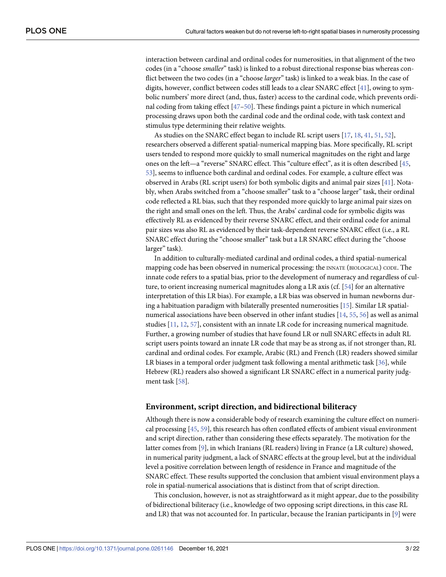<span id="page-2-0"></span>interaction between cardinal and ordinal codes for numerosities, in that alignment of the two codes (in a "choose *smaller*" task) is linked to a robust directional response bias whereas conflict between the two codes (in a "choose *larger*" task) is linked to a weak bias. In the case of digits, however, conflict between codes still leads to a clear SNARC effect [\[41\]](#page-18-0), owing to symbolic numbers' more direct (and, thus, faster) access to the cardinal code, which prevents ordinal coding from taking effect [\[47–50\]](#page-19-0). These findings paint a picture in which numerical processing draws upon both the cardinal code and the ordinal code, with task context and stimulus type determining their relative weights.

As studies on the SNARC effect began to include RL script users [\[17,](#page-17-0) [18,](#page-17-0) [41,](#page-18-0) [51,](#page-19-0) [52\]](#page-19-0), researchers observed a different spatial-numerical mapping bias. More specifically, RL script users tended to respond more quickly to small numerical magnitudes on the right and large ones on the left—a "reverse" SNARC effect. This "culture effect", as it is often described [[45](#page-19-0), [53\]](#page-19-0), seems to influence both cardinal and ordinal codes. For example, a culture effect was observed in Arabs (RL script users) for both symbolic digits and animal pair sizes [\[41\]](#page-18-0). Notably, when Arabs switched from a "choose smaller" task to a "choose larger" task, their ordinal code reflected a RL bias, such that they responded more quickly to large animal pair sizes on the right and small ones on the left. Thus, the Arabs' cardinal code for symbolic digits was effectively RL as evidenced by their reverse SNARC effect, and their ordinal code for animal pair sizes was also RL as evidenced by their task-dependent reverse SNARC effect (i.e., a RL SNARC effect during the "choose smaller" task but a LR SNARC effect during the "choose larger" task).

In addition to culturally-mediated cardinal and ordinal codes, a third spatial-numerical mapping code has been observed in numerical processing: the INNATE (BIOLOGICAL) CODE. The innate code refers to a spatial bias, prior to the development of numeracy and regardless of culture, to orient increasing numerical magnitudes along a LR axis (cf. [[54](#page-19-0)] for an alternative interpretation of this LR bias). For example, a LR bias was observed in human newborns during a habituation paradigm with bilaterally presented numerosities [\[15\]](#page-17-0). Similar LR spatialnumerical associations have been observed in other infant studies [[14](#page-17-0), [55](#page-19-0), [56](#page-19-0)] as well as animal studies [\[11,](#page-17-0) [12,](#page-17-0) [57\]](#page-19-0), consistent with an innate LR code for increasing numerical magnitude. Further, a growing number of studies that have found LR or null SNARC effects in adult RL script users points toward an innate LR code that may be as strong as, if not stronger than, RL cardinal and ordinal codes. For example, Arabic (RL) and French (LR) readers showed similar LR biases in a temporal order judgment task following a mental arithmetic task  $[36]$ , while Hebrew (RL) readers also showed a significant LR SNARC effect in a numerical parity judgment task [[58](#page-19-0)].

#### **Environment, script direction, and bidirectional biliteracy**

Although there is now a considerable body of research examining the culture effect on numerical processing [\[45,](#page-19-0) [59\]](#page-19-0), this research has often conflated effects of ambient visual environment and script direction, rather than considering these effects separately. The motivation for the latter comes from [[9\]](#page-17-0), in which Iranians (RL readers) living in France (a LR culture) showed, in numerical parity judgment, a lack of SNARC effects at the group level, but at the individual level a positive correlation between length of residence in France and magnitude of the SNARC effect. These results supported the conclusion that ambient visual environment plays a role in spatial-numerical associations that is distinct from that of script direction.

This conclusion, however, is not as straightforward as it might appear, due to the possibility of bidirectional biliteracy (i.e., knowledge of two opposing script directions, in this case RL and LR) that was not accounted for. In particular, because the Iranian participants in [[9\]](#page-17-0) were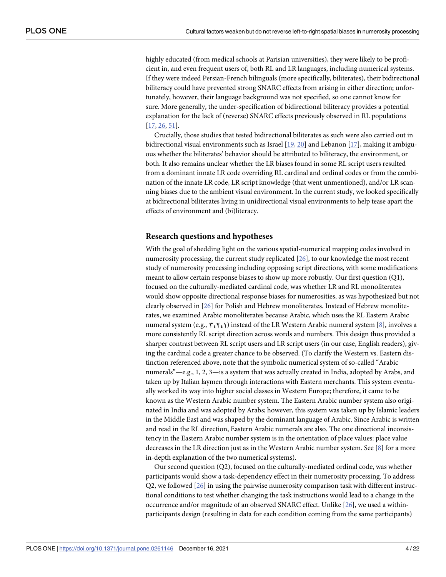highly educated (from medical schools at Parisian universities), they were likely to be proficient in, and even frequent users of, both RL and LR languages, including numerical systems. If they were indeed Persian-French bilinguals (more specifically, biliterates), their bidirectional biliteracy could have prevented strong SNARC effects from arising in either direction; unfortunately, however, their language background was not specified, so one cannot know for sure. More generally, the under-specification of bidirectional biliteracy provides a potential explanation for the lack of (reverse) SNARC effects previously observed in RL populations [\[17,](#page-17-0) [26,](#page-18-0) [51\]](#page-19-0).

Crucially, those studies that tested bidirectional biliterates as such were also carried out in bidirectional visual environments such as Israel [\[19,](#page-17-0) [20\]](#page-17-0) and Lebanon [\[17\]](#page-17-0), making it ambiguous whether the biliterates' behavior should be attributed to biliteracy, the environment, or both. It also remains unclear whether the LR biases found in some RL script users resulted from a dominant innate LR code overriding RL cardinal and ordinal codes or from the combination of the innate LR code, LR script knowledge (that went unmentioned), and/or LR scanning biases due to the ambient visual environment. In the current study, we looked specifically at bidirectional biliterates living in unidirectional visual environments to help tease apart the effects of environment and (bi)literacy.

#### **Research questions and hypotheses**

With the goal of shedding light on the various spatial-numerical mapping codes involved in numerosity processing, the current study replicated [\[26\]](#page-18-0), to our knowledge the most recent study of numerosity processing including opposing script directions, with some modifications meant to allow certain response biases to show up more robustly. Our first question (Q1), focused on the culturally-mediated cardinal code, was whether LR and RL monoliterates would show opposite directional response biases for numerosities, as was hypothesized but not clearly observed in [[26](#page-18-0)] for Polish and Hebrew monoliterates. Instead of Hebrew monoliterates, we examined Arabic monoliterates because Arabic, which uses the RL Eastern Arabic numeral system (e.g.,  $\mathbf{Y}_i \mathbf{Y}_i$ ) instead of the LR Western Arabic numeral system [\[8](#page-17-0)], involves a more consistently RL script direction across words and numbers. This design thus provided a sharper contrast between RL script users and LR script users (in our case, English readers), giving the cardinal code a greater chance to be observed. (To clarify the Western vs. Eastern distinction referenced above, note that the symbolic numerical system of so-called "Arabic numerals"—e.g., 1, 2, 3—is a system that was actually created in India, adopted by Arabs, and taken up by Italian laymen through interactions with Eastern merchants. This system eventually worked its way into higher social classes in Western Europe; therefore, it came to be known as the Western Arabic number system. The Eastern Arabic number system also originated in India and was adopted by Arabs; however, this system was taken up by Islamic leaders in the Middle East and was shaped by the dominant language of Arabic. Since Arabic is written and read in the RL direction, Eastern Arabic numerals are also. The one directional inconsistency in the Eastern Arabic number system is in the orientation of place values: place value decreases in the LR direction just as in the Western Arabic number system. See [[8\]](#page-17-0) for a more in-depth explanation of the two numerical systems).

Our second question (Q2), focused on the culturally-mediated ordinal code, was whether participants would show a task-dependency effect in their numerosity processing. To address Q2, we followed [[26](#page-18-0)] in using the pairwise numerosity comparison task with different instructional conditions to test whether changing the task instructions would lead to a change in the occurrence and/or magnitude of an observed SNARC effect. Unlike [\[26\]](#page-18-0), we used a withinparticipants design (resulting in data for each condition coming from the same participants)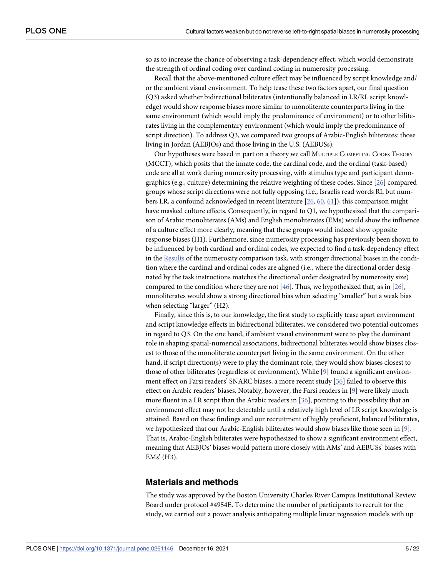<span id="page-4-0"></span>so as to increase the chance of observing a task-dependency effect, which would demonstrate the strength of ordinal coding over cardinal coding in numerosity processing.

Recall that the above-mentioned culture effect may be influenced by script knowledge and/ or the ambient visual environment. To help tease these two factors apart, our final question (Q3) asked whether bidirectional biliterates (intentionally balanced in LR/RL script knowledge) would show response biases more similar to monoliterate counterparts living in the same environment (which would imply the predominance of environment) or to other biliterates living in the complementary environment (which would imply the predominance of script direction). To address Q3, we compared two groups of Arabic-English biliterates: those living in Jordan (AEBJOs) and those living in the U.S. (AEBUSs).

Our hypotheses were based in part on a theory we call MULTIPLE COMPETING CODES THEORY (MCCT), which posits that the innate code, the cardinal code, and the ordinal (task-based) code are all at work during numerosity processing, with stimulus type and participant demographics (e.g., culture) determining the relative weighting of these codes. Since [\[26\]](#page-18-0) compared groups whose script directions were not fully opposing (i.e., Israelis read words RL but numbers LR, a confound acknowledged in recent literature [\[26,](#page-18-0) [60,](#page-19-0) [61\]](#page-19-0)), this comparison might have masked culture effects. Consequently, in regard to Q1, we hypothesized that the comparison of Arabic monoliterates (AMs) and English monoliterates (EMs) would show the influence of a culture effect more clearly, meaning that these groups would indeed show opposite response biases (H1). Furthermore, since numerosity processing has previously been shown to be influenced by both cardinal and ordinal codes, we expected to find a task-dependency effect in the [Results](#page-7-0) of the numerosity comparison task, with stronger directional biases in the condition where the cardinal and ordinal codes are aligned (i.e., where the directional order designated by the task instructions matches the directional order designated by numerosity size) compared to the condition where they are not [[46](#page-19-0)]. Thus, we hypothesized that, as in [[26](#page-18-0)], monoliterates would show a strong directional bias when selecting "smaller" but a weak bias when selecting "larger" (H2).

Finally, since this is, to our knowledge, the first study to explicitly tease apart environment and script knowledge effects in bidirectional biliterates, we considered two potential outcomes in regard to Q3. On the one hand, if ambient visual environment were to play the dominant role in shaping spatial-numerical associations, bidirectional biliterates would show biases closest to those of the monoliterate counterpart living in the same environment. On the other hand, if script direction(s) were to play the dominant role, they would show biases closest to those of other biliterates (regardless of environment). While [[9](#page-17-0)] found a significant environment effect on Farsi readers' SNARC biases, a more recent study [\[36\]](#page-18-0) failed to observe this effect on Arabic readers' biases. Notably, however, the Farsi readers in [\[9\]](#page-17-0) were likely much more fluent in a LR script than the Arabic readers in [\[36\]](#page-18-0), pointing to the possibility that an environment effect may not be detectable until a relatively high level of LR script knowledge is attained. Based on these findings and our recruitment of highly proficient, balanced biliterates, we hypothesized that our Arabic-English biliterates would show biases like those seen in [[9\]](#page-17-0). That is, Arabic-English biliterates were hypothesized to show a significant environment effect, meaning that AEBJOs' biases would pattern more closely with AMs' and AEBUSs' biases with EMs' (H3).

#### **Materials and methods**

The study was approved by the Boston University Charles River Campus Institutional Review Board under protocol #4954E. To determine the number of participants to recruit for the study, we carried out a power analysis anticipating multiple linear regression models with up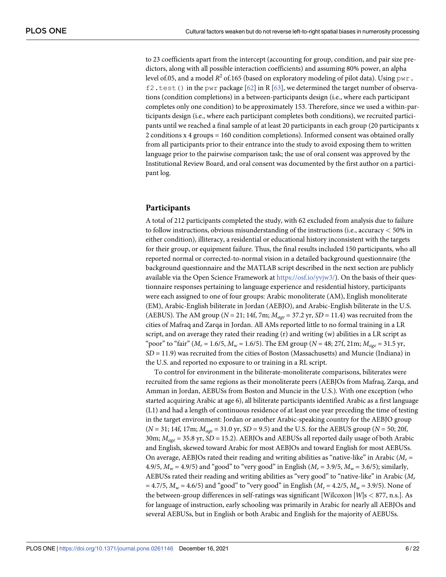<span id="page-5-0"></span>to 23 coefficients apart from the intercept (accounting for group, condition, and pair size predictors, along with all possible interaction coefficients) and assuming 80% power, an alpha level of.05, and a model  $R^2$  of.165 (based on exploratory modeling of pilot data). Using  $pwr$ .  $f2. \text{test}$  () in the pwr package [\[62](#page-19-0)] in R [\[63\]](#page-19-0), we determined the target number of observations (condition completions) in a between-participants design (i.e., where each participant completes only one condition) to be approximately 153. Therefore, since we used a within-participants design (i.e., where each participant completes both conditions), we recruited participants until we reached a final sample of at least 20 participants in each group (20 participants x 2 conditions x 4 groups = 160 condition completions). Informed consent was obtained orally from all participants prior to their entrance into the study to avoid exposing them to written language prior to the pairwise comparison task; the use of oral consent was approved by the Institutional Review Board, and oral consent was documented by the first author on a participant log.

#### **Participants**

A total of 212 participants completed the study, with 62 excluded from analysis due to failure to follow instructions, obvious misunderstanding of the instructions (i.e., accuracy *<* 50% in either condition), illiteracy, a residential or educational history inconsistent with the targets for their group, or equipment failure. Thus, the final results included 150 participants, who all reported normal or corrected-to-normal vision in a detailed background questionnaire (the background questionnaire and the MATLAB script described in the next section are publicly available via the Open Science Framework at [https://osf.io/yvjw3/\)](https://osf.io/yvjw3/). On the basis of their questionnaire responses pertaining to language experience and residential history, participants were each assigned to one of four groups: Arabic monoliterate (AM), English monoliterate (EM), Arabic-English biliterate in Jordan (AEBJO), and Arabic-English biliterate in the U.S. (AEBUS). The AM group ( $N = 21$ ; 14f, 7m;  $M_{age} = 37.2$  yr,  $SD = 11.4$ ) was recruited from the cities of Mafraq and Zarqa in Jordan. All AMs reported little to no formal training in a LR script, and on average they rated their reading (r) and writing (w) abilities in a LR script as "poor" to "fair" (*Mr* = 1.6/5, *Mw* = 1.6/5). The EM group (*N* = 48; 27f, 21m; *Mage* = 31.5 yr, *SD* = 11.9) was recruited from the cities of Boston (Massachusetts) and Muncie (Indiana) in the U.S. and reported no exposure to or training in a RL script.

To control for environment in the biliterate-monoliterate comparisons, biliterates were recruited from the same regions as their monoliterate peers (AEBJOs from Mafraq, Zarqa, and Amman in Jordan, AEBUSs from Boston and Muncie in the U.S.). With one exception (who started acquiring Arabic at age 6), all biliterate participants identified Arabic as a first language (L1) and had a length of continuous residence of at least one year preceding the time of testing in the target environment: Jordan or another Arabic-speaking country for the AEBJO group (*N* = 31; 14f, 17m; *Mage* = 31.0 yr, *SD* = 9.5) and the U.S. for the AEBUS group (*N* = 50; 20f, 30m; *Mage* = 35.8 yr, *SD* = 15.2). AEBJOs and AEBUSs all reported daily usage of both Arabic and English, skewed toward Arabic for most AEBJOs and toward English for most AEBUSs. On average, AEBJOs rated their reading and writing abilities as "native-like" in Arabic  $(M_r =$ 4.9/5,  $M_w = 4.9/5$ ) and "good" to "very good" in English ( $M_r = 3.9/5$ ,  $M_w = 3.6/5$ ); similarly, AEBUSs rated their reading and writing abilities as "very good" to "native-like" in Arabic (*Mr*  $= 4.7/5$ ,  $M_w = 4.6/5$  and "good" to "very good" in English ( $M_r = 4.2/5$ ,  $M_w = 3.9/5$ ). None of the between-group differences in self-ratings was significant [Wilcoxon |*W*|s *<* 877, n.s.]. As for language of instruction, early schooling was primarily in Arabic for nearly all AEBJOs and several AEBUSs, but in English or both Arabic and English for the majority of AEBUSs.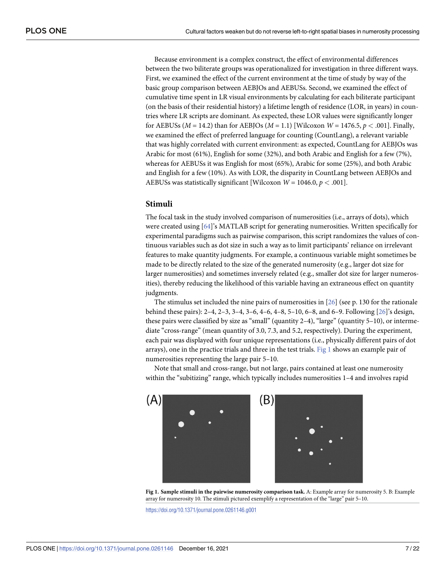<span id="page-6-0"></span>Because environment is a complex construct, the effect of environmental differences between the two biliterate groups was operationalized for investigation in three different ways. First, we examined the effect of the current environment at the time of study by way of the basic group comparison between AEBJOs and AEBUSs. Second, we examined the effect of cumulative time spent in LR visual environments by calculating for each biliterate participant (on the basis of their residential history) a lifetime length of residence (LOR, in years) in countries where LR scripts are dominant. As expected, these LOR values were significantly longer for AEBUSs ( $M = 14.2$ ) than for AEBJOs ( $M = 1.1$ ) [Wilcoxon  $W = 1476.5$ ,  $p < .001$ ]. Finally, we examined the effect of preferred language for counting (CountLang), a relevant variable that was highly correlated with current environment: as expected, CountLang for AEBJOs was Arabic for most (61%), English for some (32%), and both Arabic and English for a few (7%), whereas for AEBUSs it was English for most (65%), Arabic for some (25%), and both Arabic and English for a few (10%). As with LOR, the disparity in CountLang between AEBJOs and AEBUSs was statistically significant [Wilcoxon  $W = 1046.0, p < .001$ ].

#### **Stimuli**

The focal task in the study involved comparison of numerosities (i.e., arrays of dots), which were created using [[64](#page-19-0)]'s MATLAB script for generating numerosities. Written specifically for experimental paradigms such as pairwise comparison, this script randomizes the values of continuous variables such as dot size in such a way as to limit participants' reliance on irrelevant features to make quantity judgments. For example, a continuous variable might sometimes be made to be directly related to the size of the generated numerosity (e.g., larger dot size for larger numerosities) and sometimes inversely related (e.g., smaller dot size for larger numerosities), thereby reducing the likelihood of this variable having an extraneous effect on quantity judgments.

The stimulus set included the nine pairs of numerosities in [[26](#page-18-0)] (see p. 130 for the rationale behind these pairs): 2–4, 2–3, 3–4, 3–6, 4–6, 4–8, 5–10, 6–8, and 6–9. Following [\[26\]](#page-18-0)'s design, these pairs were classified by size as "small" (quantity 2–4), "large" (quantity 5–10), or intermediate "cross-range" (mean quantity of 3.0, 7.3, and 5.2, respectively). During the experiment, each pair was displayed with four unique representations (i.e., physically different pairs of dot arrays), one in the practice trials and three in the test trials. Fig 1 shows an example pair of numerosities representing the large pair 5–10.

Note that small and cross-range, but not large, pairs contained at least one numerosity within the "subitizing" range, which typically includes numerosities 1–4 and involves rapid



**Fig 1. Sample stimuli in the pairwise numerosity comparison task.** A: Example array for numerosity 5. B: Example array for numerosity 10. The stimuli pictured exemplify a representation of the "large" pair 5–10.

<https://doi.org/10.1371/journal.pone.0261146.g001>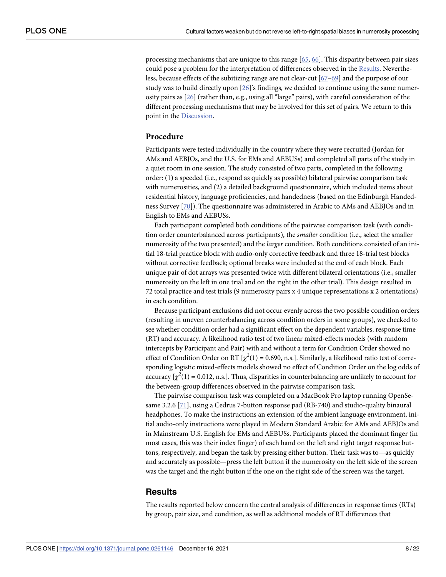<span id="page-7-0"></span>processing mechanisms that are unique to this range [\[65,](#page-19-0) [66\]](#page-20-0). This disparity between pair sizes could pose a problem for the interpretation of differences observed in the Results. Nevertheless, because effects of the subitizing range are not clear-cut [[67–69\]](#page-20-0) and the purpose of our study was to build directly upon [[26\]](#page-18-0)'s findings, we decided to continue using the same numerosity pairs as [\[26\]](#page-18-0) (rather than, e.g., using all "large" pairs), with careful consideration of the different processing mechanisms that may be involved for this set of pairs. We return to this point in the [Discussion](#page-12-0).

#### **Procedure**

Participants were tested individually in the country where they were recruited (Jordan for AMs and AEBJOs, and the U.S. for EMs and AEBUSs) and completed all parts of the study in a quiet room in one session. The study consisted of two parts, completed in the following order: (1) a speeded (i.e., respond as quickly as possible) bilateral pairwise comparison task with numerosities, and (2) a detailed background questionnaire, which included items about residential history, language proficiencies, and handedness (based on the Edinburgh Handedness Survey [[70](#page-20-0)]). The questionnaire was administered in Arabic to AMs and AEBJOs and in English to EMs and AEBUSs.

Each participant completed both conditions of the pairwise comparison task (with condition order counterbalanced across participants), the *smaller* condition (i.e., select the smaller numerosity of the two presented) and the *larger* condition. Both conditions consisted of an initial 18-trial practice block with audio-only corrective feedback and three 18-trial test blocks without corrective feedback; optional breaks were included at the end of each block. Each unique pair of dot arrays was presented twice with different bilateral orientations (i.e., smaller numerosity on the left in one trial and on the right in the other trial). This design resulted in 72 total practice and test trials (9 numerosity pairs x 4 unique representations x 2 orientations) in each condition.

Because participant exclusions did not occur evenly across the two possible condition orders (resulting in uneven counterbalancing across condition orders in some groups), we checked to see whether condition order had a significant effect on the dependent variables, response time (RT) and accuracy. A likelihood ratio test of two linear mixed-effects models (with random intercepts by Participant and Pair) with and without a term for Condition Order showed no effect of Condition Order on RT  $[\chi^2(1) = 0.690, n.s.]$ . Similarly, a likelihood ratio test of corresponding logistic mixed-effects models showed no effect of Condition Order on the log odds of accuracy  $[\chi^2(1) = 0.012, n.s.]$ . Thus, disparities in counterbalancing are unlikely to account for the between-group differences observed in the pairwise comparison task.

The pairwise comparison task was completed on a MacBook Pro laptop running OpenSesame 3.2.6 [[71](#page-20-0)], using a Cedrus 7-button response pad (RB-740) and studio-quality binaural headphones. To make the instructions an extension of the ambient language environment, initial audio-only instructions were played in Modern Standard Arabic for AMs and AEBJOs and in Mainstream U.S. English for EMs and AEBUSs. Participants placed the dominant finger (in most cases, this was their index finger) of each hand on the left and right target response buttons, respectively, and began the task by pressing either button. Their task was to—as quickly and accurately as possible—press the left button if the numerosity on the left side of the screen was the target and the right button if the one on the right side of the screen was the target.

#### **Results**

The results reported below concern the central analysis of differences in response times (RTs) by group, pair size, and condition, as well as additional models of RT differences that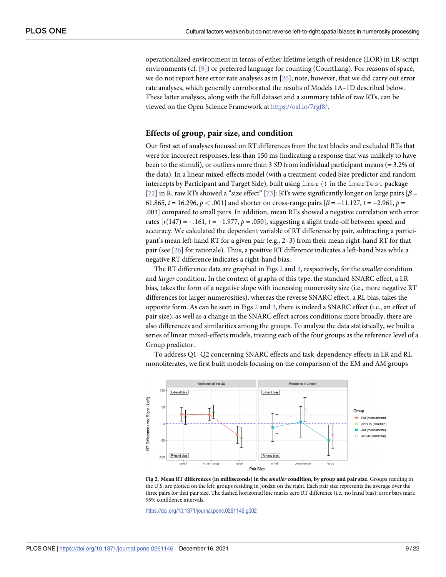<span id="page-8-0"></span>operationalized environment in terms of either lifetime length of residence (LOR) in LR-script environments (cf. [\[9](#page-17-0)]) or preferred language for counting (CountLang). For reasons of space, we do not report here error rate analyses as in  $[26]$ ; note, however, that we did carry out error rate analyses, which generally corroborated the results of Models 1A–1D described below. These latter analyses, along with the full dataset and a summary table of raw RTs, can be viewed on the Open Science Framework at [https://osf.io/7rgf8/.](https://osf.io/7rgf8/)

#### **Effects of group, pair size, and condition**

Our first set of analyses focused on RT differences from the test blocks and excluded RTs that were for incorrect responses, less than 150 ms (indicating a response that was unlikely to have been to the stimuli), or outliers more than 3 *SD* from individual participant means (= 3.2% of the data). In a linear mixed-effects model (with a treatment-coded Size predictor and random intercepts by Participant and Target Side), built using lmer() in the lmerTest package [\[72\]](#page-20-0) in R, raw RTs showed a "size effect" [[73](#page-20-0)]: RTs were significantly longer on large pairs [*β* = 61.865, *t* = 16.296, *p* < .001] and shorter on cross-range pairs  $\beta$  = −11.127, *t* = −2.961, *p* = .003] compared to small pairs. In addition, mean RTs showed a negative correlation with error rates [*r*(147) = −.161, *t* = −1.977, *p* = .050], suggesting a slight trade-off between speed and accuracy. We calculated the dependent variable of RT difference by pair, subtracting a participant's mean left-hand RT for a given pair (e.g., 2–3) from their mean right-hand RT for that pair (see [\[26\]](#page-18-0) for rationale). Thus, a positive RT difference indicates a left-hand bias while a negative RT difference indicates a right-hand bias.

The RT difference data are graphed in Figs 2 and [3,](#page-9-0) respectively, for the *smaller* condition and *larger* condition. In the context of graphs of this type, the standard SNARC effect, a LR bias, takes the form of a negative slope with increasing numerosity size (i.e., more negative RT differences for larger numerosities), whereas the reverse SNARC effect, a RL bias, takes the opposite form. As can be seen in Figs 2 and [3](#page-9-0), there is indeed a SNARC effect (i.e., an effect of pair size), as well as a change in the SNARC effect across conditions; more broadly, there are also differences and similarities among the groups. To analyze the data statistically, we built a series of linear mixed-effects models, treating each of the four groups as the reference level of a Group predictor.

To address Q1–Q2 concerning SNARC effects and task-dependency effects in LR and RL monoliterates, we first built models focusing on the comparison of the EM and AM groups



Fig 2. Mean RT differences (in milliseconds) in the *smaller* condition, by group and pair size. Groups residing in the U.S. are plotted on the left; groups residing in Jordan on the right. Each pair size represents the average over the three pairs for that pair size. The dashed horizontal line marks zero RT difference (i.e., no hand bias); error bars mark 95% confidence intervals.

<https://doi.org/10.1371/journal.pone.0261146.g002>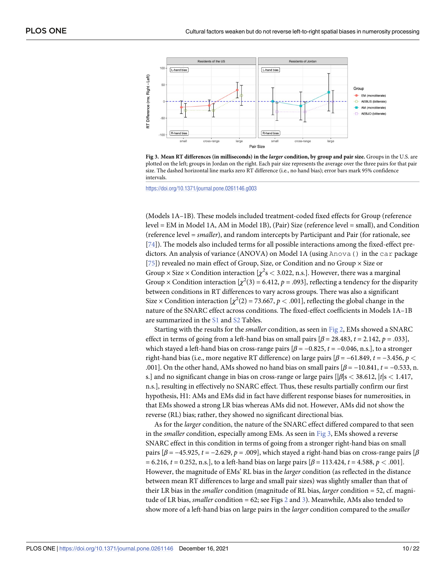<span id="page-9-0"></span>

[Fig](#page-8-0) 3. Mean RT differences (in milliseconds) in the larger condition, by group and pair size. Groups in the U.S. are plotted on the left; groups in Jordan on the right. Each pair size represents the average over the three pairs for that pair size. The dashed horizontal line marks zero RT difference (i.e., no hand bias); error bars mark 95% confidence intervals.

<https://doi.org/10.1371/journal.pone.0261146.g003>

(Models 1A–1B). These models included treatment-coded fixed effects for Group (reference level = EM in Model 1A, AM in Model 1B), (Pair) Size (reference level = small), and Condition (reference level = *smaller*), and random intercepts by Participant and Pair (for rationale, see [\[74\]](#page-20-0)). The models also included terms for all possible interactions among the fixed-effect predictors. An analysis of variance (ANOVA) on Model 1A (using  $Anova()$  in the car package [\[75\]](#page-20-0)) revealed no main effect of Group, Size, or Condition and no Group  $\times$  Size or Group × Size × Condition interaction [ $χ²s$  < 3.022, n.s.]. However, there was a marginal Group × Condition interaction  $[\chi^2(3) = 6.412, p = .093]$ , reflecting a tendency for the disparity between conditions in RT differences to vary across groups. There was also a significant Size  $\times$  Condition interaction  $[\chi^2(2) = 73.667, p < .001]$ , reflecting the global change in the nature of the SNARC effect across conditions. The fixed-effect coefficients in Models 1A–1B are summarized in the [S1](#page-15-0) and [S2](#page-16-0) Tables.

Starting with the results for the *smaller* condition, as seen in [Fig](#page-8-0) 2, EMs showed a SNARC effect in terms of going from a left-hand bias on small pairs  $\beta = 28.483$ ,  $t = 2.142$ ,  $p = .033$ ], which stayed a left-hand bias on cross-range pairs  $[\beta = -0.825, t = -0.046, n.s.]$ , to a stronger right-hand bias (i.e., more negative RT difference) on large pairs  $\beta = -61.849$ ,  $t = -3.456$ ,  $p <$ .001]. On the other hand, AMs showed no hand bias on small pairs  $\beta = -10.841$ ,  $t = -0.533$ , n. s.] and no significant change in bias on cross-range or large pairs [|*β*|s *<* 38.612, |*t*|s *<* 1.417, n.s.], resulting in effectively no SNARC effect. Thus, these results partially confirm our first hypothesis, H1: AMs and EMs did in fact have different response biases for numerosities, in that EMs showed a strong LR bias whereas AMs did not. However, AMs did not show the reverse (RL) bias; rather, they showed no significant directional bias.

As for the *larger* condition, the nature of the SNARC effect differed compared to that seen in the *smaller* condition, especially among EMs. As seen in Fig 3, EMs showed a reverse SNARC effect in this condition in terms of going from a stronger right-hand bias on small pairs [*β* = −45.925, *t* = −2.629, *p* = .009], which stayed a right-hand bias on cross-range pairs [*β* = 6.216, *t* = 0.252, n.s.], to a left-hand bias on large pairs [*β* = 113.424, *t* = 4.588, *p <* .001]. However, the magnitude of EMs' RL bias in the *larger* condition (as reflected in the distance between mean RT differences to large and small pair sizes) was slightly smaller than that of their LR bias in the *smaller* condition (magnitude of RL bias, *larger* condition = 52, cf. magnitude of LR bias, *smaller* condition = 62; see Figs [2](#page-8-0) and 3). Meanwhile, AMs also tended to show more of a left-hand bias on large pairs in the *larger* condition compared to the *smaller*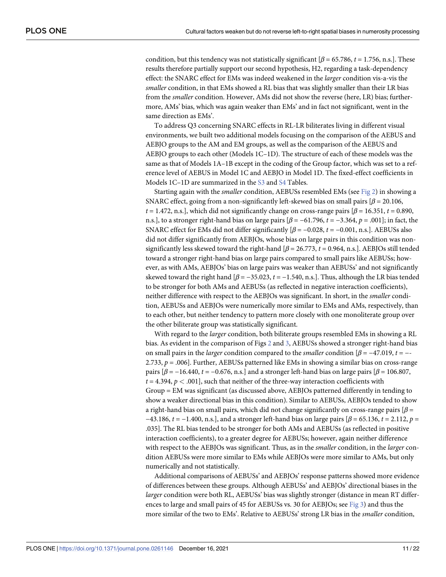condition, but this tendency was not statistically significant  $\beta$  = 65.786, *t* = 1.756, n.s.]. These results therefore partially support our second hypothesis, H2, regarding a task-dependency effect: the SNARC effect for EMs was indeed weakened in the *larger* condition vis-a-vis the *smaller* condition, in that EMs showed a RL bias that was slightly smaller than their LR bias from the *smaller* condition. However, AMs did not show the reverse (here, LR) bias; furthermore, AMs' bias, which was again weaker than EMs' and in fact not significant, went in the same direction as EMs'.

To address Q3 concerning SNARC effects in RL-LR biliterates living in different visual environments, we built two additional models focusing on the comparison of the AEBUS and AEBJO groups to the AM and EM groups, as well as the comparison of the AEBUS and AEBJO groups to each other (Models 1C–1D). The structure of each of these models was the same as that of Models 1A–1B except in the coding of the Group factor, which was set to a reference level of AEBUS in Model 1C and AEBJO in Model 1D. The fixed-effect coefficients in Models 1C–1D are summarized in the [S3](#page-16-0) and [S4](#page-16-0) Tables.

Starting again with the *smaller* condition, AEBUSs resembled EMs (see [Fig](#page-8-0) 2) in showing a SNARC effect, going from a non-significantly left-skewed bias on small pairs  $\beta$  = 20.106, *t* = 1.472, n.s.], which did not significantly change on cross-range pairs [*β* = 16.351, *t* = 0.890, n.s.], to a stronger right-hand bias on large pairs  $\beta = -61.796$ ,  $t = -3.364$ ,  $p = .001$ ; in fact, the SNARC effect for EMs did not differ significantly  $\beta = -0.028$ ,  $t = -0.001$ , n.s.]. AEBUSs also did not differ significantly from AEBJOs, whose bias on large pairs in this condition was nonsignificantly less skewed toward the right-hand [*β* = 26.773, *t* = 0.964, n.s.]. AEBJOs still tended toward a stronger right-hand bias on large pairs compared to small pairs like AEBUSs; however, as with AMs, AEBJOs' bias on large pairs was weaker than AEBUSs' and not significantly skewed toward the right hand  $\beta = -35.023$ ,  $t = -1.540$ , n.s.]. Thus, although the LR bias tended to be stronger for both AMs and AEBUSs (as reflected in negative interaction coefficients), neither difference with respect to the AEBJOs was significant. In short, in the *smaller* condition, AEBUSs and AEBJOs were numerically more similar to EMs and AMs, respectively, than to each other, but neither tendency to pattern more closely with one monoliterate group over the other biliterate group was statistically significant.

With regard to the *larger* condition, both biliterate groups resembled EMs in showing a RL bias. As evident in the comparison of Figs [2](#page-8-0) and [3,](#page-9-0) AEBUSs showed a stronger right-hand bias on small pairs in the *larger* condition compared to the *smaller* condition [*β* = −47.019, *t* = −- 2.733,  $p = .006$ ]. Further, AEBUSs patterned like EMs in showing a similar bias on cross-range pairs [*β* = −16.440, *t* = −0.676, n.s.] and a stronger left-hand bias on large pairs [*β* = 106.807,  $t = 4.394$ ,  $p < .001$ ], such that neither of the three-way interaction coefficients with Group = EM was significant (as discussed above, AEBJOs patterned differently in tending to show a weaker directional bias in this condition). Similar to AEBUSs, AEBJOs tended to show a right-hand bias on small pairs, which did not change significantly on cross-range pairs [*β* = −43.186, *t* = −1.400, n.s.], and a stronger left-hand bias on large pairs [*β* = 65.136, *t* = 2.112, *p* = .035]. The RL bias tended to be stronger for both AMs and AEBUSs (as reflected in positive interaction coefficients), to a greater degree for AEBUSs; however, again neither difference with respect to the AEBJOs was significant. Thus, as in the *smaller* condition, in the *larger* condition AEBUSs were more similar to EMs while AEBJOs were more similar to AMs, but only numerically and not statistically.

Additional comparisons of AEBUSs' and AEBJOs' response patterns showed more evidence of differences between these groups. Although AEBUSs' and AEBJOs' directional biases in the *larger* condition were both RL, AEBUSs' bias was slightly stronger (distance in mean RT differences to large and small pairs of 45 for AEBUSs vs. 30 for AEBJOs; see [Fig](#page-9-0) 3) and thus the more similar of the two to EMs'. Relative to AEBUSs' strong LR bias in the *smaller* condition,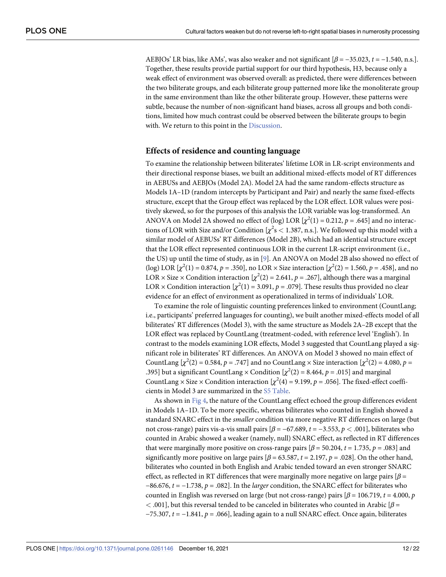<span id="page-11-0"></span>AEBJOs' LR bias, like AMs', was also weaker and not significant  $\beta = -35.023$ ,  $t = -1.540$ , n.s.]. Together, these results provide partial support for our third hypothesis, H3, because only a weak effect of environment was observed overall: as predicted, there were differences between the two biliterate groups, and each biliterate group patterned more like the monoliterate group in the same environment than like the other biliterate group. However, these patterns were subtle, because the number of non-significant hand biases, across all groups and both conditions, limited how much contrast could be observed between the biliterate groups to begin with. We return to this point in the [Discussion](#page-12-0).

#### **Effects of residence and counting language**

To examine the relationship between biliterates' lifetime LOR in LR-script environments and their directional response biases, we built an additional mixed-effects model of RT differences in AEBUSs and AEBJOs (Model 2A). Model 2A had the same random-effects structure as Models 1A–1D (random intercepts by Participant and Pair) and nearly the same fixed-effects structure, except that the Group effect was replaced by the LOR effect. LOR values were positively skewed, so for the purposes of this analysis the LOR variable was log-transformed. An ANOVA on Model 2A showed no effect of (log) LOR  $[\chi^2(1) = 0.212, p = .645]$  and no interactions of LOR with Size and/or Condition  $[\chi^2 s < 1.387, n.s.]$ . We followed up this model with a similar model of AEBUSs' RT differences (Model 2B), which had an identical structure except that the LOR effect represented continuous LOR in the current LR-script environment (i.e., the US) up until the time of study, as in [\[9](#page-17-0)]. An ANOVA on Model 2B also showed no effect of (log) LOR  $[\chi^2(1) = 0.874, p = .350]$ , no LOR × Size interaction  $[\chi^2(2) = 1.560, p = .458]$ , and no LOR × Size × Condition interaction  $[\chi^2(2) = 2.641, p = .267]$ , although there was a marginal LOR  $\times$  Condition interaction  $[\chi^2(1) = 3.091, p = .079]$ . These results thus provided no clear evidence for an effect of environment as operationalized in terms of individuals' LOR.

To examine the role of linguistic counting preferences linked to environment (CountLang; i.e., participants' preferred languages for counting), we built another mixed-effects model of all biliterates' RT differences (Model 3), with the same structure as Models 2A–2B except that the LOR effect was replaced by CountLang (treatment-coded, with reference level 'English'). In contrast to the models examining LOR effects, Model 3 suggested that CountLang played a significant role in biliterates' RT differences. An ANOVA on Model 3 showed no main effect of CountLang  $[\chi^2(2) = 0.584, p = .747]$  and no CountLang × Size interaction  $[\chi^2(2) = 4.080, p =$ .395] but a significant CountLang  $\times$  Condition  $[\chi^2(2) = 8.464, p = .015]$  and marginal CountLang  $\times$  Size  $\times$  Condition interaction  $[\chi^2(4) = 9.199, p = .056]$ . The fixed-effect coefficients in Model 3 are summarized in the S5 [Table](#page-16-0).

As shown in [Fig](#page-12-0) 4, the nature of the CountLang effect echoed the group differences evident in Models 1A–1D. To be more specific, whereas biliterates who counted in English showed a standard SNARC effect in the *smaller* condition via more negative RT differences on large (but not cross-range) pairs vis-a-vis small pairs [*β* = −67.689, *t* = −3.553, *p <* .001], biliterates who counted in Arabic showed a weaker (namely, null) SNARC effect, as reflected in RT differences that were marginally more positive on cross-range pairs  $[\beta = 50.204, t = 1.735, p = .083]$  and significantly more positive on large pairs  $\beta$  = 63.587, *t* = 2.197, *p* = .028]. On the other hand, biliterates who counted in both English and Arabic tended toward an even stronger SNARC effect, as reflected in RT differences that were marginally more negative on large pairs [*β* = −86.676, *t* = −1.738, *p* = .082]. In the *larger* condition, the SNARC effect for biliterates who counted in English was reversed on large (but not cross-range) pairs  $\beta = 106.719$ ,  $t = 4.000$ ,  $p$ *<* .001], but this reversal tended to be canceled in biliterates who counted in Arabic [*β* = −75.307, *t* = −1.841, *p* = .066], leading again to a null SNARC effect. Once again, biliterates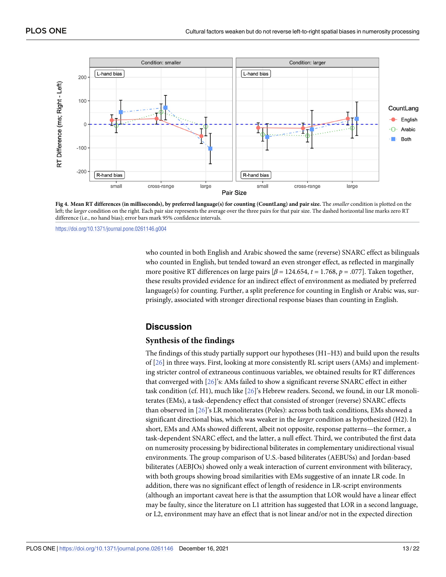<span id="page-12-0"></span>

[Fig](#page-11-0) 4. Mean RT differences (in milliseconds), by preferred language(s) for counting (CountLang) and pair size. The smaller condition is plotted on the left; the *larger* condition on the right. Each pair size represents the average over the three pairs for that pair size. The dashed horizontal line marks zero RT difference (i.e., no hand bias); error bars mark 95% confidence intervals.

<https://doi.org/10.1371/journal.pone.0261146.g004>

who counted in both English and Arabic showed the same (reverse) SNARC effect as bilinguals who counted in English, but tended toward an even stronger effect, as reflected in marginally more positive RT differences on large pairs  $\beta$  = 124.654, *t* = 1.768, *p* = .077]. Taken together, these results provided evidence for an indirect effect of environment as mediated by preferred language(s) for counting. Further, a split preference for counting in English or Arabic was, surprisingly, associated with stronger directional response biases than counting in English.

#### **Discussion**

#### **Synthesis of the findings**

The findings of this study partially support our hypotheses (H1–H3) and build upon the results of [\[26\]](#page-18-0) in three ways. First, looking at more consistently RL script users (AMs) and implementing stricter control of extraneous continuous variables, we obtained results for RT differences that converged with [[26](#page-18-0)]'s: AMs failed to show a significant reverse SNARC effect in either task condition (cf. H1), much like [[26](#page-18-0)]'s Hebrew readers. Second, we found, in our LR monoliterates (EMs), a task-dependency effect that consisted of stronger (reverse) SNARC effects than observed in [\[26\]](#page-18-0)'s LR monoliterates (Poles): across both task conditions, EMs showed a significant directional bias, which was weaker in the *larger* condition as hypothesized (H2). In short, EMs and AMs showed different, albeit not opposite, response patterns—the former, a task-dependent SNARC effect, and the latter, a null effect. Third, we contributed the first data on numerosity processing by bidirectional biliterates in complementary unidirectional visual environments. The group comparison of U.S.-based biliterates (AEBUSs) and Jordan-based biliterates (AEBJOs) showed only a weak interaction of current environment with biliteracy, with both groups showing broad similarities with EMs suggestive of an innate LR code. In addition, there was no significant effect of length of residence in LR-script environments (although an important caveat here is that the assumption that LOR would have a linear effect may be faulty, since the literature on L1 attrition has suggested that LOR in a second language, or L2, environment may have an effect that is not linear and/or not in the expected direction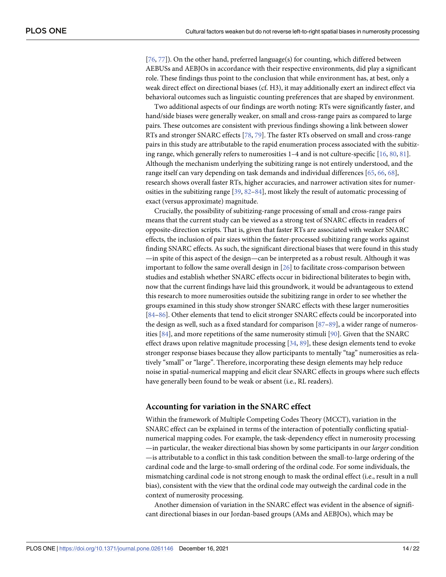<span id="page-13-0"></span>[\[76,](#page-20-0) [77\]](#page-20-0)). On the other hand, preferred language(s) for counting, which differed between AEBUSs and AEBJOs in accordance with their respective environments, did play a significant role. These findings thus point to the conclusion that while environment has, at best, only a weak direct effect on directional biases (cf. H3), it may additionally exert an indirect effect via behavioral outcomes such as linguistic counting preferences that are shaped by environment.

Two additional aspects of our findings are worth noting: RTs were significantly faster, and hand/side biases were generally weaker, on small and cross-range pairs as compared to large pairs. These outcomes are consistent with previous findings showing a link between slower RTs and stronger SNARC effects [[78](#page-20-0), [79](#page-20-0)]. The faster RTs observed on small and cross-range pairs in this study are attributable to the rapid enumeration process associated with the subitizing range, which generally refers to numerosities 1–4 and is not culture-specific [[16](#page-17-0), [80](#page-20-0), [81](#page-20-0)]. Although the mechanism underlying the subitizing range is not entirely understood, and the range itself can vary depending on task demands and individual differences [[65](#page-19-0), [66](#page-20-0), [68](#page-20-0)], research shows overall faster RTs, higher accuracies, and narrower activation sites for numerosities in the subitizing range [[39](#page-18-0), [82–84\]](#page-20-0), most likely the result of automatic processing of exact (versus approximate) magnitude.

Crucially, the possibility of subitizing-range processing of small and cross-range pairs means that the current study can be viewed as a strong test of SNARC effects in readers of opposite-direction scripts. That is, given that faster RTs are associated with weaker SNARC effects, the inclusion of pair sizes within the faster-processed subitizing range works against finding SNARC effects. As such, the significant directional biases that were found in this study —in spite of this aspect of the design—can be interpreted as a robust result. Although it was important to follow the same overall design in [\[26\]](#page-18-0) to facilitate cross-comparison between studies and establish whether SNARC effects occur in bidirectional biliterates to begin with, now that the current findings have laid this groundwork, it would be advantageous to extend this research to more numerosities outside the subitizing range in order to see whether the groups examined in this study show stronger SNARC effects with these larger numerosities [\[84–86\]](#page-20-0). Other elements that tend to elicit stronger SNARC effects could be incorporated into the design as well, such as a fixed standard for comparison [[87](#page-21-0)–[89](#page-21-0)], a wider range of numerosities [[84](#page-20-0)], and more repetitions of the same numerosity stimuli [[90](#page-21-0)]. Given that the SNARC effect draws upon relative magnitude processing [[34](#page-18-0), [89](#page-21-0)], these design elements tend to evoke stronger response biases because they allow participants to mentally "tag" numerosities as relatively "small" or "large". Therefore, incorporating these design elements may help reduce noise in spatial-numerical mapping and elicit clear SNARC effects in groups where such effects have generally been found to be weak or absent (i.e., RL readers).

#### **Accounting for variation in the SNARC effect**

Within the framework of Multiple Competing Codes Theory (MCCT), variation in the SNARC effect can be explained in terms of the interaction of potentially conflicting spatialnumerical mapping codes. For example, the task-dependency effect in numerosity processing —in particular, the weaker directional bias shown by some participants in our *larger* condition —is attributable to a conflict in this task condition between the small-to-large ordering of the cardinal code and the large-to-small ordering of the ordinal code. For some individuals, the mismatching cardinal code is not strong enough to mask the ordinal effect (i.e., result in a null bias), consistent with the view that the ordinal code may outweigh the cardinal code in the context of numerosity processing.

Another dimension of variation in the SNARC effect was evident in the absence of significant directional biases in our Jordan-based groups (AMs and AEBJOs), which may be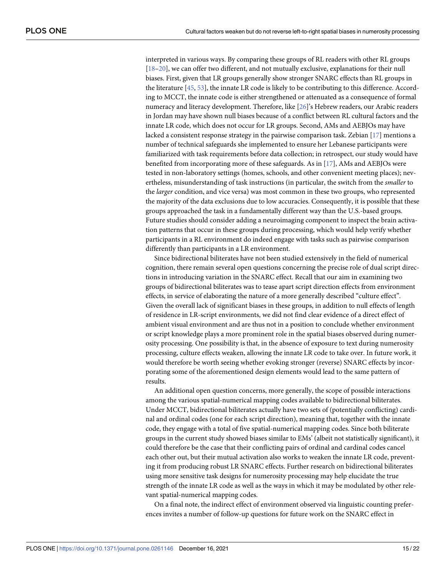interpreted in various ways. By comparing these groups of RL readers with other RL groups [\[18–20\]](#page-17-0), we can offer two different, and not mutually exclusive, explanations for their null biases. First, given that LR groups generally show stronger SNARC effects than RL groups in the literature [[45](#page-19-0), [53](#page-19-0)], the innate LR code is likely to be contributing to this difference. According to MCCT, the innate code is either strengthened or attenuated as a consequence of formal numeracy and literacy development. Therefore, like [\[26\]](#page-18-0)'s Hebrew readers, our Arabic readers in Jordan may have shown null biases because of a conflict between RL cultural factors and the innate LR code, which does not occur for LR groups. Second, AMs and AEBJOs may have lacked a consistent response strategy in the pairwise comparison task. Zebian [\[17\]](#page-17-0) mentions a number of technical safeguards she implemented to ensure her Lebanese participants were familiarized with task requirements before data collection; in retrospect, our study would have benefited from incorporating more of these safeguards. As in [[17](#page-17-0)], AMs and AEBJOs were tested in non-laboratory settings (homes, schools, and other convenient meeting places); nevertheless, misunderstanding of task instructions (in particular, the switch from the *smaller* to the *larger* condition, and vice versa) was most common in these two groups, who represented the majority of the data exclusions due to low accuracies. Consequently, it is possible that these groups approached the task in a fundamentally different way than the U.S.-based groups. Future studies should consider adding a neuroimaging component to inspect the brain activation patterns that occur in these groups during processing, which would help verify whether participants in a RL environment do indeed engage with tasks such as pairwise comparison differently than participants in a LR environment.

Since bidirectional biliterates have not been studied extensively in the field of numerical cognition, there remain several open questions concerning the precise role of dual script directions in introducing variation in the SNARC effect. Recall that our aim in examining two groups of bidirectional biliterates was to tease apart script direction effects from environment effects, in service of elaborating the nature of a more generally described "culture effect". Given the overall lack of significant biases in these groups, in addition to null effects of length of residence in LR-script environments, we did not find clear evidence of a direct effect of ambient visual environment and are thus not in a position to conclude whether environment or script knowledge plays a more prominent role in the spatial biases observed during numerosity processing. One possibility is that, in the absence of exposure to text during numerosity processing, culture effects weaken, allowing the innate LR code to take over. In future work, it would therefore be worth seeing whether evoking stronger (reverse) SNARC effects by incorporating some of the aforementioned design elements would lead to the same pattern of results.

An additional open question concerns, more generally, the scope of possible interactions among the various spatial-numerical mapping codes available to bidirectional biliterates. Under MCCT, bidirectional biliterates actually have two sets of (potentially conflicting) cardinal and ordinal codes (one for each script direction), meaning that, together with the innate code, they engage with a total of five spatial-numerical mapping codes. Since both biliterate groups in the current study showed biases similar to EMs' (albeit not statistically significant), it could therefore be the case that their conflicting pairs of ordinal and cardinal codes cancel each other out, but their mutual activation also works to weaken the innate LR code, preventing it from producing robust LR SNARC effects. Further research on bidirectional biliterates using more sensitive task designs for numerosity processing may help elucidate the true strength of the innate LR code as well as the ways in which it may be modulated by other relevant spatial-numerical mapping codes.

On a final note, the indirect effect of environment observed via linguistic counting preferences invites a number of follow-up questions for future work on the SNARC effect in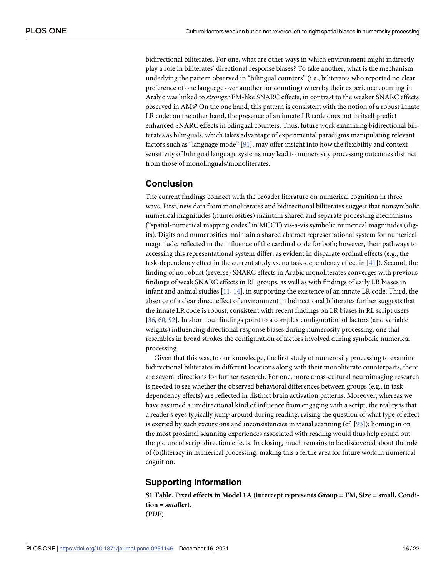<span id="page-15-0"></span>bidirectional biliterates. For one, what are other ways in which environment might indirectly play a role in biliterates' directional response biases? To take another, what is the mechanism underlying the pattern observed in "bilingual counters" (i.e., biliterates who reported no clear preference of one language over another for counting) whereby their experience counting in Arabic was linked to *stronger* EM-like SNARC effects, in contrast to the weaker SNARC effects observed in AMs? On the one hand, this pattern is consistent with the notion of a robust innate LR code; on the other hand, the presence of an innate LR code does not in itself predict enhanced SNARC effects in bilingual counters. Thus, future work examining bidirectional biliterates as bilinguals, which takes advantage of experimental paradigms manipulating relevant factors such as "language mode" [[91](#page-21-0)], may offer insight into how the flexibility and contextsensitivity of bilingual language systems may lead to numerosity processing outcomes distinct from those of monolinguals/monoliterates.

#### **Conclusion**

The current findings connect with the broader literature on numerical cognition in three ways. First, new data from monoliterates and bidirectional biliterates suggest that nonsymbolic numerical magnitudes (numerosities) maintain shared and separate processing mechanisms ("spatial-numerical mapping codes" in MCCT) vis-a-vis symbolic numerical magnitudes (digits). Digits and numerosities maintain a shared abstract representational system for numerical magnitude, reflected in the influence of the cardinal code for both; however, their pathways to accessing this representational system differ, as evident in disparate ordinal effects (e.g., the task-dependency effect in the current study vs. no task-dependency effect in [[41](#page-18-0)]). Second, the finding of no robust (reverse) SNARC effects in Arabic monoliterates converges with previous findings of weak SNARC effects in RL groups, as well as with findings of early LR biases in infant and animal studies  $[11, 14]$  $[11, 14]$  $[11, 14]$ , in supporting the existence of an innate LR code. Third, the absence of a clear direct effect of environment in bidirectional biliterates further suggests that the innate LR code is robust, consistent with recent findings on LR biases in RL script users [\[36,](#page-18-0) [60,](#page-19-0) [92\]](#page-21-0). In short, our findings point to a complex configuration of factors (and variable weights) influencing directional response biases during numerosity processing, one that resembles in broad strokes the configuration of factors involved during symbolic numerical processing.

Given that this was, to our knowledge, the first study of numerosity processing to examine bidirectional biliterates in different locations along with their monoliterate counterparts, there are several directions for further research. For one, more cross-cultural neuroimaging research is needed to see whether the observed behavioral differences between groups (e.g., in taskdependency effects) are reflected in distinct brain activation patterns. Moreover, whereas we have assumed a unidirectional kind of influence from engaging with a script, the reality is that a reader's eyes typically jump around during reading, raising the question of what type of effect is exerted by such excursions and inconsistencies in visual scanning (cf.  $[93]$ ); homing in on the most proximal scanning experiences associated with reading would thus help round out the picture of script direction effects. In closing, much remains to be discovered about the role of (bi)literacy in numerical processing, making this a fertile area for future work in numerical cognition.

#### **Supporting information**

**S1 [Table.](http://www.plosone.org/article/fetchSingleRepresentation.action?uri=info:doi/10.1371/journal.pone.0261146.s001) Fixed effects in Model 1A (intercept represents Group = EM, Size = small, Condition =** *smaller***).** (PDF)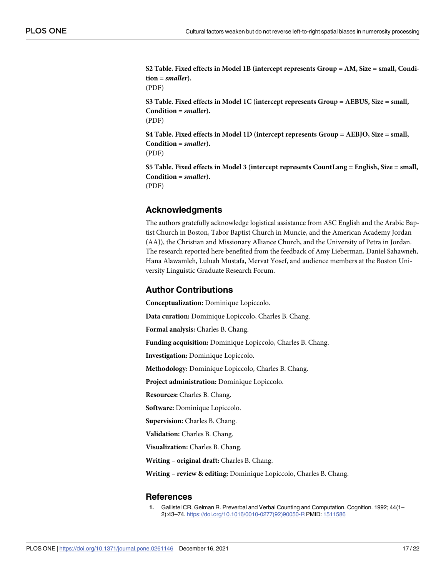<span id="page-16-0"></span>**S2 [Table.](http://www.plosone.org/article/fetchSingleRepresentation.action?uri=info:doi/10.1371/journal.pone.0261146.s002) Fixed effects in Model 1B (intercept represents Group = AM, Size = small, Condition =** *smaller***).** (PDF) **S3 [Table.](http://www.plosone.org/article/fetchSingleRepresentation.action?uri=info:doi/10.1371/journal.pone.0261146.s003) Fixed effects in Model 1C (intercept represents Group = AEBUS, Size = small, Condition =** *smaller***).** (PDF)

**S4 [Table.](http://www.plosone.org/article/fetchSingleRepresentation.action?uri=info:doi/10.1371/journal.pone.0261146.s004) Fixed effects in Model 1D (intercept represents Group = AEBJO, Size = small, Condition =** *smaller***).**

(PDF)

**S5 [Table.](http://www.plosone.org/article/fetchSingleRepresentation.action?uri=info:doi/10.1371/journal.pone.0261146.s005) Fixed effects in Model 3 (intercept represents CountLang = English, Size = small, Condition =** *smaller***).** (PDF)

**Acknowledgments**

The authors gratefully acknowledge logistical assistance from ASC English and the Arabic Baptist Church in Boston, Tabor Baptist Church in Muncie, and the American Academy Jordan (AAJ), the Christian and Missionary Alliance Church, and the University of Petra in Jordan. The research reported here benefited from the feedback of Amy Lieberman, Daniel Sahawneh, Hana Alawamleh, Luluah Mustafa, Mervat Yosef, and audience members at the Boston University Linguistic Graduate Research Forum.

#### **Author Contributions**

**Conceptualization:** Dominique Lopiccolo.

**Data curation:** Dominique Lopiccolo, Charles B. Chang.

**Formal analysis:** Charles B. Chang.

**Funding acquisition:** Dominique Lopiccolo, Charles B. Chang.

**Investigation:** Dominique Lopiccolo.

**Methodology:** Dominique Lopiccolo, Charles B. Chang.

**Project administration:** Dominique Lopiccolo.

**Resources:** Charles B. Chang.

**Software:** Dominique Lopiccolo.

**Supervision:** Charles B. Chang.

**Validation:** Charles B. Chang.

**Visualization:** Charles B. Chang.

**Writing – original draft:** Charles B. Chang.

**Writing – review & editing:** Dominique Lopiccolo, Charles B. Chang.

#### **References**

**[1](#page-0-0).** Gallistel CR, Gelman R. Preverbal and Verbal Counting and Computation. Cognition. 1992; 44(1– 2):43–74. [https://doi.org/10.1016/0010-0277\(92\)90050-R](https://doi.org/10.1016/0010-0277(92)90050-R) PMID: [1511586](http://www.ncbi.nlm.nih.gov/pubmed/1511586)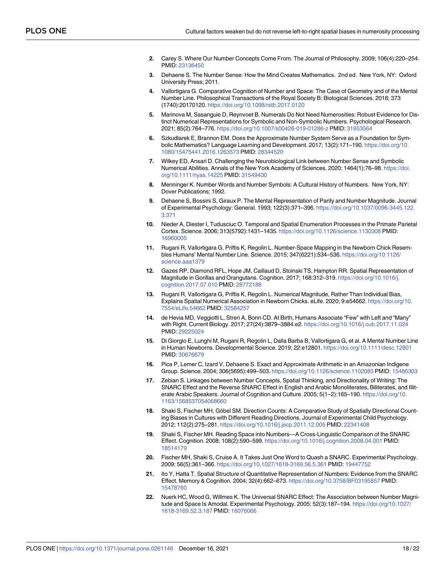- <span id="page-17-0"></span>**2.** Carey S. Where Our Number Concepts Come From. The Journal of Philosophy. 2009; 106(4):220–254. PMID: [23136450](http://www.ncbi.nlm.nih.gov/pubmed/23136450)
- **3.** Dehaene S. The Number Sense: How the Mind Creates Mathematics. 2nd ed. New York, NY: Oxford University Press; 2011.
- **[4](#page-0-0).** Vallortigara G. Comparative Cognition of Number and Space: The Case of Geometry and of the Mental Number Line. Philosophical Transactions of the Royal Society B: Biological Sciences. 2018; 373 (1740):20170120. <https://doi.org/10.1098/rstb.2017.0120>
- **[5](#page-0-0).** Marinova M, Sasanguie D, Reynvoet B. Numerals Do Not Need Numerosities: Robust Evidence for Distinct Numerical Representations for Symbolic and Non-Symbolic Numbers. Psychological Research. 2021; 85(2):764–776. <https://doi.org/10.1007/s00426-019-01286-z> PMID: [31953564](http://www.ncbi.nlm.nih.gov/pubmed/31953564)
- **[6](#page-1-0).** Szkudlarek E, Brannon EM. Does the Approximate Number System Serve as a Foundation for Symbolic Mathematics? Language Learning and Development. 2017; 13(2):171–190. [https://doi.org/10.](https://doi.org/10.1080/15475441.2016.1263573) [1080/15475441.2016.1263573](https://doi.org/10.1080/15475441.2016.1263573) PMID: [28344520](http://www.ncbi.nlm.nih.gov/pubmed/28344520)
- **[7](#page-1-0).** Wilkey ED, Ansari D. Challenging the Neurobiological Link between Number Sense and Symbolic Numerical Abilities. Annals of the New York Academy of Sciences. 2020; 1464(1):76–98. [https://doi.](https://doi.org/10.1111/nyas.14225) [org/10.1111/nyas.14225](https://doi.org/10.1111/nyas.14225) PMID: [31549430](http://www.ncbi.nlm.nih.gov/pubmed/31549430)
- **[8](#page-1-0).** Menninger K. Number Words and Number Symbols: A Cultural History of Numbers. New York, NY: Dover Publications; 1992.
- **[9](#page-1-0).** Dehaene S, Bossini S, Giraux P. The Mental Representation of Parity and Number Magnitude. Journal of Experimental Psychology: General. 1993; 122(3):371–396. [https://doi.org/10.1037/0096-3445.122.](https://doi.org/10.1037/0096-3445.122.3.371) [3.371](https://doi.org/10.1037/0096-3445.122.3.371)
- **[10](#page-1-0).** Nieder A, Diester I, Tudusciuc O. Temporal and Spatial Enumeration Processes in the Primate Parietal Cortex. Science. 2006; 313(5792):1431–1435. <https://doi.org/10.1126/science.1130308> PMID: [16960005](http://www.ncbi.nlm.nih.gov/pubmed/16960005)
- **[11](#page-2-0).** Rugani R, Vallortigara G, Priftis K, Regolin L. Number-Space Mapping in the Newborn Chick Resembles Humans' Mental Number Line. Science. 2015; 347(6221):534–536. [https://doi.org/10.1126/](https://doi.org/10.1126/science.aaa1379) [science.aaa1379](https://doi.org/10.1126/science.aaa1379)
- **[12](#page-2-0).** Gazes RP, Diamond RFL, Hope JM, Caillaud D, Stoinski TS, Hampton RR. Spatial Representation of Magnitude in Gorillas and Orangutans. Cognition. 2017; 168:312–319. [https://doi.org/10.1016/j.](https://doi.org/10.1016/j.cognition.2017.07.010) [cognition.2017.07.010](https://doi.org/10.1016/j.cognition.2017.07.010) PMID: [28772188](http://www.ncbi.nlm.nih.gov/pubmed/28772188)
- **[13](#page-1-0).** Rugani R, Vallortigara G, Priftis K, Regolin L. Numerical Magnitude, Rather Than Individual Bias, Explains Spatial Numerical Association in Newborn Chicks. eLife. 2020; 9:e54662. [https://doi.org/10.](https://doi.org/10.7554/eLife.54662) [7554/eLife.54662](https://doi.org/10.7554/eLife.54662) PMID: [32584257](http://www.ncbi.nlm.nih.gov/pubmed/32584257)
- **[14](#page-1-0).** de Hevia MD, Veggiotti L, Streri A, Bonn CD. At Birth, Humans Associate "Few" with Left and "Many" with Right. Current Biology. 2017; 27(24):3879–3884.e2. <https://doi.org/10.1016/j.cub.2017.11.024> PMID: [29225024](http://www.ncbi.nlm.nih.gov/pubmed/29225024)
- **[15](#page-1-0).** Di Giorgio E, Lunghi M, Rugani R, Regolin L, Dalla Barba B, Vallortigara G, et al. A Mental Number Line in Human Newborns. Developmental Science. 2019; 22:e12801. <https://doi.org/10.1111/desc.12801> PMID: [30676679](http://www.ncbi.nlm.nih.gov/pubmed/30676679)
- **[16](#page-1-0).** Pica P, Lemer C, Izard V, Dehaene S. Exact and Approximate Arithmetic in an Amazonian Indigene Group. Science. 2004; 306(5695):499–503. <https://doi.org/10.1126/science.1102085> PMID: [15486303](http://www.ncbi.nlm.nih.gov/pubmed/15486303)
- **[17](#page-2-0).** Zebian S. Linkages between Number Concepts, Spatial Thinking, and Directionality of Writing: The SNARC Effect and the Reverse SNARC Effect in English and Arabic Monoliterates, Biliterates, and Illiterate Arabic Speakers. Journal of Cognition and Culture. 2005; 5(1–2):165–190. [https://doi.org/10.](https://doi.org/10.1163/1568537054068660) [1163/1568537054068660](https://doi.org/10.1163/1568537054068660)
- **[18](#page-1-0).** Shaki S, Fischer MH, Göbel SM. Direction Counts: A Comparative Study of Spatially Directional Counting Biases in Cultures with Different Reading Directions. Journal of Experimental Child Psychology. 2012; 112(2):275–281. <https://doi.org/10.1016/j.jecp.2011.12.005> PMID: [22341408](http://www.ncbi.nlm.nih.gov/pubmed/22341408)
- **[19](#page-1-0).** Shaki S, Fischer MH. Reading Space into Numbers—A Cross-Linguistic Comparison of the SNARC Effect. Cognition. 2008; 108(2):590–599. <https://doi.org/10.1016/j.cognition.2008.04.001> PMID: [18514179](http://www.ncbi.nlm.nih.gov/pubmed/18514179)
- **[20](#page-1-0).** Fischer MH, Shaki S, Cruise A. It Takes Just One Word to Quash a SNARC. Experimental Psychology. 2009; 56(5):361–366. <https://doi.org/10.1027/1618-3169.56.5.361> PMID: [19447752](http://www.ncbi.nlm.nih.gov/pubmed/19447752)
- **[21](#page-1-0).** Ito Y, Hatta T. Spatial Structure of Quantitative Representation of Numbers: Evidence from the SNARC Effect. Memory & Cognition. 2004; 32(4):662–673. <https://doi.org/10.3758/BF03195857> PMID: [15478760](http://www.ncbi.nlm.nih.gov/pubmed/15478760)
- **[22](#page-1-0).** Nuerk HC, Wood G, Willmes K. The Universal SNARC Effect: The Association between Number Magnitude and Space Is Amodal. Experimental Psychology. 2005; 52(3):187–194. [https://doi.org/10.1027/](https://doi.org/10.1027/1618-3169.52.3.187) [1618-3169.52.3.187](https://doi.org/10.1027/1618-3169.52.3.187) PMID: [16076066](http://www.ncbi.nlm.nih.gov/pubmed/16076066)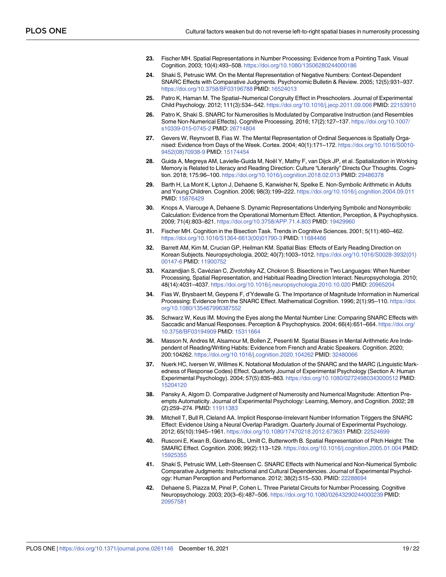- <span id="page-18-0"></span>**[23](#page-1-0).** Fischer MH. Spatial Representations in Number Processing: Evidence from a Pointing Task. Visual Cognition. 2003; 10(4):493–508. <https://doi.org/10.1080/13506280244000186>
- **24.** Shaki S, Petrusic WM. On the Mental Representation of Negative Numbers: Context-Dependent SNARC Effects with Comparative Judgments. Psychonomic Bulletin & Review. 2005; 12(5):931–937. <https://doi.org/10.3758/BF03196788> PMID: [16524013](http://www.ncbi.nlm.nih.gov/pubmed/16524013)
- **25.** Patro K, Haman M. The Spatial–Numerical Congruity Effect in Preschoolers. Journal of Experimental Child Psychology. 2012; 111(3):534–542. <https://doi.org/10.1016/j.jecp.2011.09.006> PMID: [22153910](http://www.ncbi.nlm.nih.gov/pubmed/22153910)
- **[26](#page-1-0).** Patro K, Shaki S. SNARC for Numerosities Is Modulated by Comparative Instruction (and Resembles Some Non-Numerical Effects). Cognitive Processing. 2016; 17(2):127–137. [https://doi.org/10.1007/](https://doi.org/10.1007/s10339-015-0745-2) [s10339-015-0745-2](https://doi.org/10.1007/s10339-015-0745-2) PMID: [26714804](http://www.ncbi.nlm.nih.gov/pubmed/26714804)
- **[27](#page-1-0).** Gevers W, Reynvoet B, Fias W. The Mental Representation of Ordinal Sequences is Spatially Organised: Evidence from Days of the Week. Cortex. 2004; 40(1):171–172. [https://doi.org/10.1016/S0010-](https://doi.org/10.1016/S0010-9452(08)70938-9) [9452\(08\)70938-9](https://doi.org/10.1016/S0010-9452(08)70938-9) PMID: [15174454](http://www.ncbi.nlm.nih.gov/pubmed/15174454)
- **[28](#page-1-0).** Guida A, Megreya AM, Lavielle-Guida M, Noël Y, Mathy F, van Dijck JP, et al. Spatialization in Working Memory is Related to Literacy and Reading Direction: Culture "Literarily" Directs Our Thoughts. Cognition. 2018; 175:96–100. <https://doi.org/10.1016/j.cognition.2018.02.013> PMID: [29486378](http://www.ncbi.nlm.nih.gov/pubmed/29486378)
- **[29](#page-1-0).** Barth H, La Mont K, Lipton J, Dehaene S, Kanwisher N, Spelke E. Non-Symbolic Arithmetic in Adults and Young Children. Cognition. 2006; 98(3):199–222. <https://doi.org/10.1016/j.cognition.2004.09.011> PMID: [15876429](http://www.ncbi.nlm.nih.gov/pubmed/15876429)
- **[30](#page-1-0).** Knops A, Viarouge A, Dehaene S. Dynamic Representations Underlying Symbolic and Nonsymbolic Calculation: Evidence from the Operational Momentum Effect. Attention, Perception, & Psychophysics. 2009; 71(4):803–821. <https://doi.org/10.3758/APP.71.4.803> PMID: [19429960](http://www.ncbi.nlm.nih.gov/pubmed/19429960)
- **[31](#page-1-0).** Fischer MH. Cognition in the Bisection Task. Trends in Cognitive Sciences. 2001; 5(11):460–462. [https://doi.org/10.1016/S1364-6613\(00\)01790-3](https://doi.org/10.1016/S1364-6613(00)01790-3) PMID: [11684466](http://www.ncbi.nlm.nih.gov/pubmed/11684466)
- **32.** Barrett AM, Kim M, Crucian GP, Heilman KM. Spatial Bias: Effects of Early Reading Direction on Korean Subjects. Neuropsychologia. 2002; 40(7):1003–1012. [https://doi.org/10.1016/S0028-3932\(01\)](https://doi.org/10.1016/S0028-3932(01)00147-6) [00147-6](https://doi.org/10.1016/S0028-3932(01)00147-6) PMID: [11900752](http://www.ncbi.nlm.nih.gov/pubmed/11900752)
- **[33](#page-1-0).** Kazandjian S, Cavézian C, Zivotofsky AZ, Chokron S. Bisections in Two Languages: When Number Processing, Spatial Representation, and Habitual Reading Direction Interact. Neuropsychologia. 2010; 48(14):4031–4037. <https://doi.org/10.1016/j.neuropsychologia.2010.10.020> PMID: [20965204](http://www.ncbi.nlm.nih.gov/pubmed/20965204)
- **[34](#page-1-0).** Fias W, Brysbaert M, Geypens F, d'Ydewalle G. The Importance of Magnitude Information in Numerical Processing: Evidence from the SNARC Effect. Mathematical Cognition. 1996; 2(1):95–110. [https://doi.](https://doi.org/10.1080/135467996387552) [org/10.1080/135467996387552](https://doi.org/10.1080/135467996387552)
- **35.** Schwarz W, Keus IM. Moving the Eyes along the Mental Number Line: Comparing SNARC Effects with Saccadic and Manual Responses. Perception & Psychophysics. 2004; 66(4):651–664. [https://doi.org/](https://doi.org/10.3758/BF03194909) [10.3758/BF03194909](https://doi.org/10.3758/BF03194909) PMID: [15311664](http://www.ncbi.nlm.nih.gov/pubmed/15311664)
- **[36](#page-1-0).** Masson N, Andres M, Alsamour M, Bollen Z, Pesenti M. Spatial Biases in Mental Arithmetic Are Independent of Reading/Writing Habits: Evidence from French and Arabic Speakers. Cognition. 2020; 200:104262. <https://doi.org/10.1016/j.cognition.2020.104262> PMID: [32480066](http://www.ncbi.nlm.nih.gov/pubmed/32480066)
- **[37](#page-1-0).** Nuerk HC, Iversen W, Willmes K. Notational Modulation of the SNARC and the MARC (Linguistic Markedness of Response Codes) Effect. Quarterly Journal of Experimental Psychology (Section A: Human Experimental Psychology). 2004; 57(5):835–863. <https://doi.org/10.1080/02724980343000512> PMID: [15204120](http://www.ncbi.nlm.nih.gov/pubmed/15204120)
- **[38](#page-1-0).** Pansky A, Algom D. Comparative Judgment of Numerosity and Numerical Magnitude: Attention Preempts Automaticity. Journal of Experimental Psychology: Learning, Memory, and Cognition. 2002; 28 (2):259–274. PMID: [11911383](http://www.ncbi.nlm.nih.gov/pubmed/11911383)
- **[39](#page-1-0).** Mitchell T, Bull R, Cleland AA. Implicit Response-Irrelevant Number Information Triggers the SNARC Effect: Evidence Using a Neural Overlap Paradigm. Quarterly Journal of Experimental Psychology. 2012; 65(10):1945–1961. <https://doi.org/10.1080/17470218.2012.673631> PMID: [22524699](http://www.ncbi.nlm.nih.gov/pubmed/22524699)
- **[40](#page-1-0).** Rusconi E, Kwan B, Giordano BL, Umilt C, Butterworth B. Spatial Representation of Pitch Height: The SMARC Effect. Cognition. 2006; 99(2):113–129. <https://doi.org/10.1016/j.cognition.2005.01.004> PMID: [15925355](http://www.ncbi.nlm.nih.gov/pubmed/15925355)
- **[41](#page-1-0).** Shaki S, Petrusic WM, Leth-Steensen C. SNARC Effects with Numerical and Non-Numerical Symbolic Comparative Judgments: Instructional and Cultural Dependencies. Journal of Experimental Psychology: Human Perception and Performance. 2012; 38(2):515–530. PMID: [22288694](http://www.ncbi.nlm.nih.gov/pubmed/22288694)
- **[42](#page-1-0).** Dehaene S, Piazza M, Pinel P, Cohen L. Three Parietal Circuits for Number Processing. Cognitive Neuropsychology. 2003; 20(3–6):487–506. <https://doi.org/10.1080/02643290244000239> PMID: [20957581](http://www.ncbi.nlm.nih.gov/pubmed/20957581)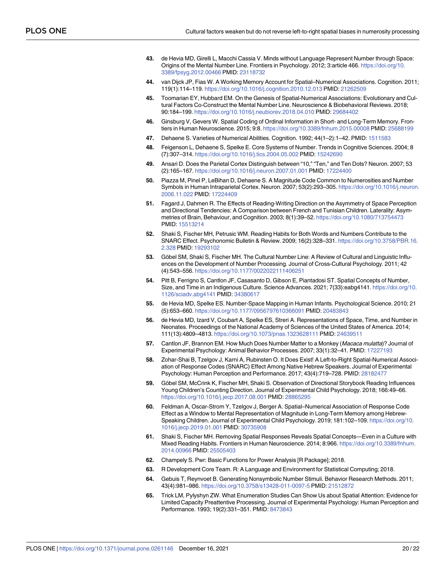- <span id="page-19-0"></span>**[43](#page-1-0).** de Hevia MD, Girelli L, Macchi Cassia V. Minds without Language Represent Number through Space: Origins of the Mental Number Line. Frontiers in Psychology. 2012; 3:article 466. [https://doi.org/10.](https://doi.org/10.3389/fpsyg.2012.00466) [3389/fpsyg.2012.00466](https://doi.org/10.3389/fpsyg.2012.00466) PMID: [23118732](http://www.ncbi.nlm.nih.gov/pubmed/23118732)
- **[44](#page-1-0).** van Dijck JP, Fias W. A Working Memory Account for Spatial–Numerical Associations. Cognition. 2011; 119(1):114–119. <https://doi.org/10.1016/j.cognition.2010.12.013> PMID: [21262509](http://www.ncbi.nlm.nih.gov/pubmed/21262509)
- **[45](#page-1-0).** Toomarian EY, Hubbard EM. On the Genesis of Spatial-Numerical Associations: Evolutionary and Cultural Factors Co-Construct the Mental Number Line. Neuroscience & Biobehavioral Reviews. 2018; 90:184–199. <https://doi.org/10.1016/j.neubiorev.2018.04.010> PMID: [29684402](http://www.ncbi.nlm.nih.gov/pubmed/29684402)
- **[46](#page-1-0).** Ginsburg V, Gevers W. Spatial Coding of Ordinal Information in Short- and Long-Term Memory. Frontiers in Human Neuroscience. 2015; 9:8. <https://doi.org/10.3389/fnhum.2015.00008> PMID: [25688199](http://www.ncbi.nlm.nih.gov/pubmed/25688199)
- **[47](#page-2-0).** Dehaene S. Varieties of Numerical Abilities. Cognition. 1992; 44(1–2):1–42. PMID: [1511583](http://www.ncbi.nlm.nih.gov/pubmed/1511583)
- **48.** Feigenson L, Dehaene S, Spelke E. Core Systems of Number. Trends in Cognitive Sciences. 2004; 8 (7):307–314. <https://doi.org/10.1016/j.tics.2004.05.002> PMID: [15242690](http://www.ncbi.nlm.nih.gov/pubmed/15242690)
- **49.** Ansari D. Does the Parietal Cortex Distinguish between "10," "Ten," and Ten Dots? Neuron. 2007; 53 (2):165–167. <https://doi.org/10.1016/j.neuron.2007.01.001> PMID: [17224400](http://www.ncbi.nlm.nih.gov/pubmed/17224400)
- **[50](#page-2-0).** Piazza M, Pinel P, LeBihan D, Dehaene S. A Magnitude Code Common to Numerosities and Number Symbols in Human Intraparietal Cortex. Neuron. 2007; 53(2):293–305. [https://doi.org/10.1016/j.neuron.](https://doi.org/10.1016/j.neuron.2006.11.022) [2006.11.022](https://doi.org/10.1016/j.neuron.2006.11.022) PMID: [17224409](http://www.ncbi.nlm.nih.gov/pubmed/17224409)
- **[51](#page-2-0).** Fagard J, Dahmen R. The Effects of Reading-Writing Direction on the Asymmetry of Space Perception and Directional Tendencies: A Comparison between French and Tunisian Children. Laterality: Asymmetries of Brain, Behaviour, and Cognition. 2003; 8(1):39–52. <https://doi.org/10.1080/713754473> PMID: [15513214](http://www.ncbi.nlm.nih.gov/pubmed/15513214)
- **[52](#page-2-0).** Shaki S, Fischer MH, Petrusic WM. Reading Habits for Both Words and Numbers Contribute to the SNARC Effect. Psychonomic Bulletin & Review. 2009; 16(2):328–331. [https://doi.org/10.3758/PBR.16.](https://doi.org/10.3758/PBR.16.2.328) [2.328](https://doi.org/10.3758/PBR.16.2.328) PMID: [19293102](http://www.ncbi.nlm.nih.gov/pubmed/19293102)
- **[53](#page-2-0).** Göbel SM, Shaki S, Fischer MH. The Cultural Number Line: A Review of Cultural and Linguistic Influences on the Development of Number Processing. Journal of Cross-Cultural Psychology. 2011; 42 (4):543–556. <https://doi.org/10.1177/0022022111406251>
- **[54](#page-2-0).** Pitt B, Ferrigno S, Cantlon JF, Casasanto D, Gibson E, Piantadosi ST. Spatial Concepts of Number, Size, and Time in an Indigenous Culture. Science Advances. 2021; 7(33):eabg4141. [https://doi.org/10.](https://doi.org/10.1126/sciadv.abg4141) [1126/sciadv.abg4141](https://doi.org/10.1126/sciadv.abg4141) PMID: [34380617](http://www.ncbi.nlm.nih.gov/pubmed/34380617)
- **[55](#page-2-0).** de Hevia MD, Spelke ES. Number-Space Mapping in Human Infants. Psychological Science. 2010; 21 (5):653–660. <https://doi.org/10.1177/0956797610366091> PMID: [20483843](http://www.ncbi.nlm.nih.gov/pubmed/20483843)
- **[56](#page-2-0).** de Hevia MD, Izard V, Coubart A, Spelke ES, Streri A. Representations of Space, Time, and Number in Neonates. Proceedings of the National Academy of Sciences of the United States of America. 2014; 111(13):4809–4813. <https://doi.org/10.1073/pnas.1323628111> PMID: [24639511](http://www.ncbi.nlm.nih.gov/pubmed/24639511)
- **[57](#page-2-0).** Cantlon JF, Brannon EM. How Much Does Number Matter to a Monkey (Macaca mulatta)? Journal of Experimental Psychology: Animal Behavior Processes. 2007; 33(1):32–41. PMID: [17227193](http://www.ncbi.nlm.nih.gov/pubmed/17227193)
- **[58](#page-2-0).** Zohar-Shai B, Tzelgov J, Karni A, Rubinsten O. It Does Exist! A Left-to-Right Spatial-Numerical Association of Response Codes (SNARC) Effect Among Native Hebrew Speakers. Journal of Experimental Psychology: Human Perception and Performance. 2017; 43(4):719–728. PMID: [28182477](http://www.ncbi.nlm.nih.gov/pubmed/28182477)
- **[59](#page-2-0).** Göbel SM, McCrink K, Fischer MH, Shaki S. Observation of Directional Storybook Reading Influences Young Children's Counting Direction. Journal of Experimental Child Psychology. 2018; 166:49–66. <https://doi.org/10.1016/j.jecp.2017.08.001> PMID: [28865295](http://www.ncbi.nlm.nih.gov/pubmed/28865295)
- **[60](#page-4-0).** Feldman A, Oscar-Strom Y, Tzelgov J, Berger A. Spatial–Numerical Association of Response Code Effect as a Window to Mental Representation of Magnitude in Long-Term Memory among Hebrew-Speaking Children. Journal of Experimental Child Psychology. 2019; 181:102–109. [https://doi.org/10.](https://doi.org/10.1016/j.jecp.2019.01.001) [1016/j.jecp.2019.01.001](https://doi.org/10.1016/j.jecp.2019.01.001) PMID: [30735908](http://www.ncbi.nlm.nih.gov/pubmed/30735908)
- **[61](#page-4-0).** Shaki S, Fischer MH. Removing Spatial Responses Reveals Spatial Concepts—Even in a Culture with Mixed Reading Habits. Frontiers in Human Neuroscience. 2014; 8:966. [https://doi.org/10.3389/fnhum.](https://doi.org/10.3389/fnhum.2014.00966) [2014.00966](https://doi.org/10.3389/fnhum.2014.00966) PMID: [25505403](http://www.ncbi.nlm.nih.gov/pubmed/25505403)
- **[62](#page-5-0).** Champely S. Pwr: Basic Functions for Power Analysis [R Package]; 2018.
- **[63](#page-5-0).** R Development Core Team. R: A Language and Environment for Statistical Computing; 2018.
- **[64](#page-6-0).** Gebuis T, Reynvoet B. Generating Nonsymbolic Number Stimuli. Behavior Research Methods. 2011; 43(4):981–986. <https://doi.org/10.3758/s13428-011-0097-5> PMID: [21512872](http://www.ncbi.nlm.nih.gov/pubmed/21512872)
- **[65](#page-7-0).** Trick LM, Pylyshyn ZW. What Enumeration Studies Can Show Us about Spatial Attention: Evidence for Limited Capacity Preattentive Processing. Journal of Experimental Psychology: Human Perception and Performance. 1993; 19(2):331–351. PMID: [8473843](http://www.ncbi.nlm.nih.gov/pubmed/8473843)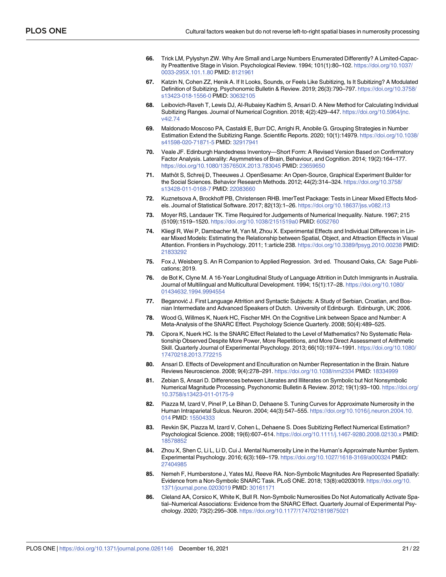- <span id="page-20-0"></span>**[66](#page-7-0).** Trick LM, Pylyshyn ZW. Why Are Small and Large Numbers Enumerated Differently? A Limited-Capacity Preattentive Stage in Vision. Psychological Review. 1994; 101(1):80–102. [https://doi.org/10.1037/](https://doi.org/10.1037/0033-295X.101.1.80) [0033-295X.101.1.80](https://doi.org/10.1037/0033-295X.101.1.80) PMID: [8121961](http://www.ncbi.nlm.nih.gov/pubmed/8121961)
- **[67](#page-7-0).** Katzin N, Cohen ZZ, Henik A. If It Looks, Sounds, or Feels Like Subitizing, Is It Subitizing? A Modulated Definition of Subitizing. Psychonomic Bulletin & Review. 2019; 26(3):790–797. [https://doi.org/10.3758/](https://doi.org/10.3758/s13423-018-1556-0) [s13423-018-1556-0](https://doi.org/10.3758/s13423-018-1556-0) PMID: [30632105](http://www.ncbi.nlm.nih.gov/pubmed/30632105)
- **[68](#page-13-0).** Leibovich-Raveh T, Lewis DJ, Al-Rubaiey Kadhim S, Ansari D. A New Method for Calculating Individual Subitizing Ranges. Journal of Numerical Cognition. 2018; 4(2):429-447. [https://doi.org/10.5964/jnc.](https://doi.org/10.5964/jnc.v4i2.74) [v4i2.74](https://doi.org/10.5964/jnc.v4i2.74)
- **[69](#page-7-0).** Maldonado Moscoso PA, Castaldi E, Burr DC, Arrighi R, Anobile G. Grouping Strategies in Number Estimation Extend the Subitizing Range. Scientific Reports. 2020; 10(1):14979. [https://doi.org/10.1038/](https://doi.org/10.1038/s41598-020-71871-5) [s41598-020-71871-5](https://doi.org/10.1038/s41598-020-71871-5) PMID: [32917941](http://www.ncbi.nlm.nih.gov/pubmed/32917941)
- **[70](#page-7-0).** Veale JF. Edinburgh Handedness Inventory—Short Form: A Revised Version Based on Confirmatory Factor Analysis. Laterality: Asymmetries of Brain, Behaviour, and Cognition. 2014; 19(2):164–177. <https://doi.org/10.1080/1357650X.2013.783045> PMID: [23659650](http://www.ncbi.nlm.nih.gov/pubmed/23659650)
- [71](#page-7-0). Mathôt S, Schreij D, Theeuwes J. OpenSesame: An Open-Source, Graphical Experiment Builder for the Social Sciences. Behavior Research Methods. 2012; 44(2):314–324. [https://doi.org/10.3758/](https://doi.org/10.3758/s13428-011-0168-7) [s13428-011-0168-7](https://doi.org/10.3758/s13428-011-0168-7) PMID: [22083660](http://www.ncbi.nlm.nih.gov/pubmed/22083660)
- **[72](#page-8-0).** Kuznetsova A, Brockhoff PB, Christensen RHB. lmerTest Package: Tests in Linear Mixed Effects Models. Journal of Statistical Software. 2017; 82(13):1–26. <https://doi.org/10.18637/jss.v082.i13>
- **[73](#page-8-0).** Moyer RS, Landauer TK. Time Required for Judgements of Numerical Inequality. Nature. 1967; 215 (5109):1519–1520. <https://doi.org/10.1038/2151519a0> PMID: [6052760](http://www.ncbi.nlm.nih.gov/pubmed/6052760)
- **[74](#page-9-0).** Kliegl R, Wei P, Dambacher M, Yan M, Zhou X. Experimental Effects and Individual Differences in Linear Mixed Models: Estimating the Relationship between Spatial, Object, and Attraction Effects in Visual Attention. Frontiers in Psychology. 2011; 1:article 238. <https://doi.org/10.3389/fpsyg.2010.00238> PMID: [21833292](http://www.ncbi.nlm.nih.gov/pubmed/21833292)
- **[75](#page-9-0).** Fox J, Weisberg S. An R Companion to Applied Regression. 3rd ed. Thousand Oaks, CA: Sage Publications; 2019.
- **[76](#page-12-0).** de Bot K, Clyne M. A 16-Year Longitudinal Study of Language Attrition in Dutch Immigrants in Australia. Journal of Multilingual and Multicultural Development. 1994; 15(1):17–28. [https://doi.org/10.1080/](https://doi.org/10.1080/01434632.1994.9994554) [01434632.1994.9994554](https://doi.org/10.1080/01434632.1994.9994554)
- **[77](#page-12-0).** Beganović J. First Language Attrition and Syntactic Subjects: A Study of Serbian, Croatian, and Bosnian Intermediate and Advanced Speakers of Dutch. University of Edinburgh. Edinburgh, UK; 2006.
- **[78](#page-13-0).** Wood G, Willmes K, Nuerk HC, Fischer MH. On the Cognitive Link between Space and Number: A Meta-Analysis of the SNARC Effect. Psychology Science Quarterly. 2008; 50(4):489–525.
- **[79](#page-13-0).** Cipora K, Nuerk HC. Is the SNARC Effect Related to the Level of Mathematics? No Systematic Relationship Observed Despite More Power, More Repetitions, and More Direct Assessment of Arithmetic Skill. Quarterly Journal of Experimental Psychology. 2013; 66(10):1974–1991. [https://doi.org/10.1080/](https://doi.org/10.1080/17470218.2013.772215) [17470218.2013.772215](https://doi.org/10.1080/17470218.2013.772215)
- **[80](#page-13-0).** Ansari D. Effects of Development and Enculturation on Number Representation in the Brain. Nature Reviews Neuroscience. 2008; 9(4):278–291. <https://doi.org/10.1038/nrn2334> PMID: [18334999](http://www.ncbi.nlm.nih.gov/pubmed/18334999)
- **[81](#page-13-0).** Zebian S, Ansari D. Differences between Literates and Illiterates on Symbolic but Not Nonsymbolic Numerical Magnitude Processing. Psychonomic Bulletin & Review. 2012; 19(1):93–100. [https://doi.org/](https://doi.org/10.3758/s13423-011-0175-9) [10.3758/s13423-011-0175-9](https://doi.org/10.3758/s13423-011-0175-9)
- **[82](#page-13-0).** Piazza M, Izard V, Pinel P, Le Bihan D, Dehaene S. Tuning Curves for Approximate Numerosity in the Human Intraparietal Sulcus. Neuron. 2004; 44(3):547–555. [https://doi.org/10.1016/j.neuron.2004.10.](https://doi.org/10.1016/j.neuron.2004.10.014) [014](https://doi.org/10.1016/j.neuron.2004.10.014) PMID: [15504333](http://www.ncbi.nlm.nih.gov/pubmed/15504333)
- **83.** Revkin SK, Piazza M, Izard V, Cohen L, Dehaene S. Does Subitizing Reflect Numerical Estimation? Psychological Science. 2008; 19(6):607–614. <https://doi.org/10.1111/j.1467-9280.2008.02130.x> PMID: [18578852](http://www.ncbi.nlm.nih.gov/pubmed/18578852)
- **[84](#page-13-0).** Zhou X, Shen C, Li L, Li D, Cui J. Mental Numerosity Line in the Human's Approximate Number System. Experimental Psychology. 2016; 6(3):169–179. <https://doi.org/10.1027/1618-3169/a000324> PMID: [27404985](http://www.ncbi.nlm.nih.gov/pubmed/27404985)
- **85.** Nemeh F, Humberstone J, Yates MJ, Reeve RA. Non-Symbolic Magnitudes Are Represented Spatially: Evidence from a Non-Symbolic SNARC Task. PLoS ONE. 2018; 13(8):e0203019. [https://doi.org/10.](https://doi.org/10.1371/journal.pone.0203019) [1371/journal.pone.0203019](https://doi.org/10.1371/journal.pone.0203019) PMID: [30161171](http://www.ncbi.nlm.nih.gov/pubmed/30161171)
- **[86](#page-13-0).** Cleland AA, Corsico K, White K, Bull R. Non-Symbolic Numerosities Do Not Automatically Activate Spatial–Numerical Associations: Evidence from the SNARC Effect. Quarterly Journal of Experimental Psychology. 2020; 73(2):295–308. <https://doi.org/10.1177/1747021819875021>